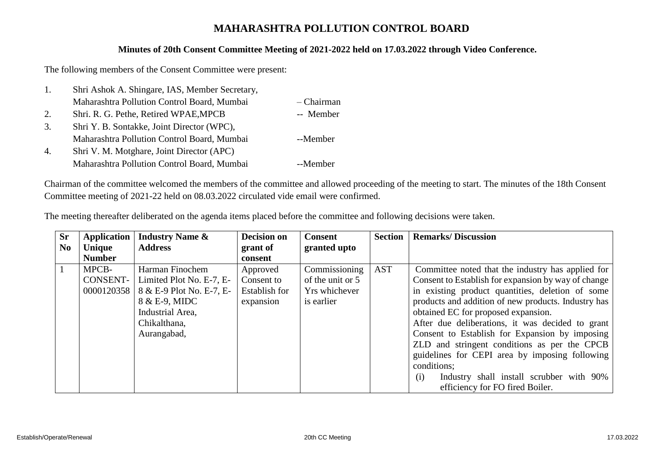## **MAHARASHTRA POLLUTION CONTROL BOARD**

## **Minutes of 20th Consent Committee Meeting of 2021-2022 held on 17.03.2022 through Video Conference.**

The following members of the Consent Committee were present:

| 1. | Shri Ashok A. Shingare, IAS, Member Secretary, |            |
|----|------------------------------------------------|------------|
|    | Maharashtra Pollution Control Board, Mumbai    | - Chairman |
| 2. | Shri. R. G. Pethe, Retired WPAE, MPCB          | -- Member  |
| 3. | Shri Y. B. Sontakke, Joint Director (WPC),     |            |
|    | Maharashtra Pollution Control Board, Mumbai    | --Member   |
| 4. | Shri V. M. Motghare, Joint Director (APC)      |            |
|    | Maharashtra Pollution Control Board, Mumbai    | --Member   |

Chairman of the committee welcomed the members of the committee and allowed proceeding of the meeting to start. The minutes of the 18th Consent Committee meeting of 2021-22 held on 08.03.2022 circulated vide email were confirmed.

|  | The meeting thereafter deliberated on the agenda items placed before the committee and following decisions were taken. |  |
|--|------------------------------------------------------------------------------------------------------------------------|--|
|  |                                                                                                                        |  |

| <b>Sr</b><br>N <sub>0</sub> | <b>Application</b><br>Unique           | <b>Industry Name &amp;</b><br><b>Address</b>                                                                                                | <b>Decision on</b><br>grant of                       | <b>Consent</b><br>granted upto                                   | <b>Section</b> | <b>Remarks/Discussion</b>                                                                                                                                                                                                                                                                                                                                                                                                                                                         |
|-----------------------------|----------------------------------------|---------------------------------------------------------------------------------------------------------------------------------------------|------------------------------------------------------|------------------------------------------------------------------|----------------|-----------------------------------------------------------------------------------------------------------------------------------------------------------------------------------------------------------------------------------------------------------------------------------------------------------------------------------------------------------------------------------------------------------------------------------------------------------------------------------|
|                             | <b>Number</b>                          |                                                                                                                                             | consent                                              |                                                                  |                |                                                                                                                                                                                                                                                                                                                                                                                                                                                                                   |
|                             | MPCB-<br><b>CONSENT-</b><br>0000120358 | Harman Finochem<br>Limited Plot No. E-7, E-<br>8 & E-9 Plot No. E-7, E-<br>8 & E-9, MIDC<br>Industrial Area,<br>Chikalthana,<br>Aurangabad, | Approved<br>Consent to<br>Establish for<br>expansion | Commissioning<br>of the unit or 5<br>Yrs whichever<br>is earlier | <b>AST</b>     | Committee noted that the industry has applied for<br>Consent to Establish for expansion by way of change<br>in existing product quantities, deletion of some<br>products and addition of new products. Industry has<br>obtained EC for proposed expansion.<br>After due deliberations, it was decided to grant<br>Consent to Establish for Expansion by imposing<br>ZLD and stringent conditions as per the CPCB<br>guidelines for CEPI area by imposing following<br>conditions; |
|                             |                                        |                                                                                                                                             |                                                      |                                                                  |                | Industry shall install scrubber with 90%<br>(i)<br>efficiency for FO fired Boiler.                                                                                                                                                                                                                                                                                                                                                                                                |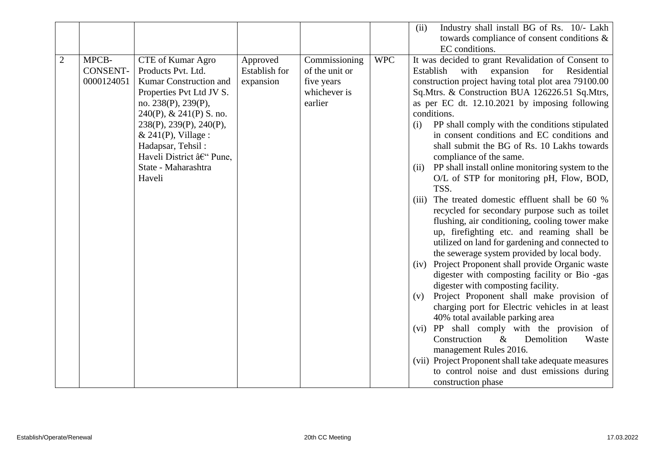|                |                 |                              |                      |                |            | Industry shall install BG of Rs. 10/- Lakh<br>(ii)       |
|----------------|-----------------|------------------------------|----------------------|----------------|------------|----------------------------------------------------------|
|                |                 |                              |                      |                |            | towards compliance of consent conditions &               |
|                |                 |                              |                      |                |            | EC conditions.                                           |
| $\overline{2}$ | MPCB-           | CTE of Kumar Agro            | Approved             | Commissioning  | <b>WPC</b> | It was decided to grant Revalidation of Consent to       |
|                | <b>CONSENT-</b> | Products Pvt. Ltd.           | <b>Establish for</b> | of the unit or |            | with<br>expansion<br>for<br>Residential<br>Establish     |
|                | 0000124051      | Kumar Construction and       | expansion            | five years     |            | construction project having total plot area 79100.00     |
|                |                 | Properties Pvt Ltd JV S.     |                      | whichever is   |            | Sq.Mtrs. & Construction BUA 126226.51 Sq.Mtrs,           |
|                |                 | no. 238(P), 239(P),          |                      | earlier        |            | as per EC dt. 12.10.2021 by imposing following           |
|                |                 | $240(P)$ , & $241(P)$ S. no. |                      |                |            | conditions.                                              |
|                |                 | 238(P), 239(P), 240(P),      |                      |                |            | PP shall comply with the conditions stipulated<br>(i)    |
|                |                 | $& 241(P)$ , Village :       |                      |                |            | in consent conditions and EC conditions and              |
|                |                 | Hadapsar, Tehsil:            |                      |                |            | shall submit the BG of Rs. 10 Lakhs towards              |
|                |                 | Haveli District – Pune,      |                      |                |            | compliance of the same.                                  |
|                |                 | State - Maharashtra          |                      |                |            | PP shall install online monitoring system to the<br>(ii) |
|                |                 | Haveli                       |                      |                |            | O/L of STP for monitoring pH, Flow, BOD,                 |
|                |                 |                              |                      |                |            | TSS.                                                     |
|                |                 |                              |                      |                |            | The treated domestic effluent shall be 60 %<br>(iii)     |
|                |                 |                              |                      |                |            | recycled for secondary purpose such as toilet            |
|                |                 |                              |                      |                |            | flushing, air conditioning, cooling tower make           |
|                |                 |                              |                      |                |            | up, firefighting etc. and reaming shall be               |
|                |                 |                              |                      |                |            | utilized on land for gardening and connected to          |
|                |                 |                              |                      |                |            | the sewerage system provided by local body.              |
|                |                 |                              |                      |                |            | Project Proponent shall provide Organic waste<br>(iv)    |
|                |                 |                              |                      |                |            | digester with composting facility or Bio -gas            |
|                |                 |                              |                      |                |            | digester with composting facility.                       |
|                |                 |                              |                      |                |            | Project Proponent shall make provision of<br>(v)         |
|                |                 |                              |                      |                |            | charging port for Electric vehicles in at least          |
|                |                 |                              |                      |                |            | 40% total available parking area                         |
|                |                 |                              |                      |                |            | (vi) PP shall comply with the provision of               |
|                |                 |                              |                      |                |            | Construction<br>$\&$<br>Demolition<br>Waste              |
|                |                 |                              |                      |                |            | management Rules 2016.                                   |
|                |                 |                              |                      |                |            | (vii) Project Proponent shall take adequate measures     |
|                |                 |                              |                      |                |            | to control noise and dust emissions during               |
|                |                 |                              |                      |                |            | construction phase                                       |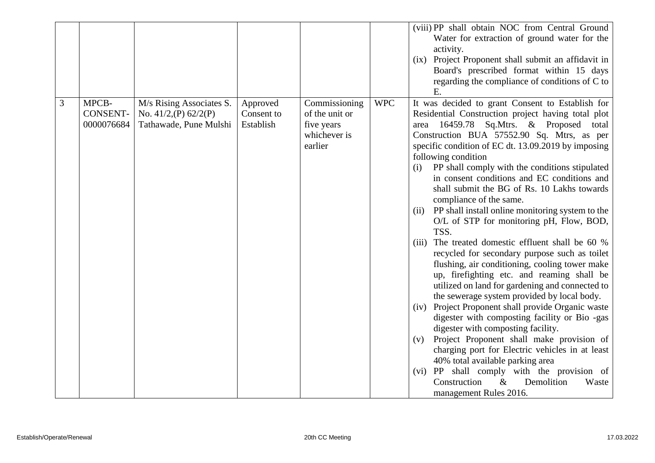|   |                                        |                                                                                   |                                     |                                                                          |            | (viii) PP shall obtain NOC from Central Ground<br>Water for extraction of ground water for the<br>activity.<br>(ix) Project Proponent shall submit an affidavit in<br>Board's prescribed format within 15 days<br>regarding the compliance of conditions of C to<br>E.                                                                                                                                                                                                                                                                                                                                                                                                                                                                                                                                                                                                                                                                                                                                                                                                                                                                                                                                                                                                                                       |
|---|----------------------------------------|-----------------------------------------------------------------------------------|-------------------------------------|--------------------------------------------------------------------------|------------|--------------------------------------------------------------------------------------------------------------------------------------------------------------------------------------------------------------------------------------------------------------------------------------------------------------------------------------------------------------------------------------------------------------------------------------------------------------------------------------------------------------------------------------------------------------------------------------------------------------------------------------------------------------------------------------------------------------------------------------------------------------------------------------------------------------------------------------------------------------------------------------------------------------------------------------------------------------------------------------------------------------------------------------------------------------------------------------------------------------------------------------------------------------------------------------------------------------------------------------------------------------------------------------------------------------|
| 3 | MPCB-<br><b>CONSENT-</b><br>0000076684 | M/s Rising Associates S.<br>No. $41/2$ , (P) $62/2$ (P)<br>Tathawade, Pune Mulshi | Approved<br>Consent to<br>Establish | Commissioning<br>of the unit or<br>five years<br>whichever is<br>earlier | <b>WPC</b> | It was decided to grant Consent to Establish for<br>Residential Construction project having total plot<br>area 16459.78 Sq.Mtrs. & Proposed<br>total<br>Construction BUA 57552.90 Sq. Mtrs, as per<br>specific condition of EC dt. 13.09.2019 by imposing<br>following condition<br>PP shall comply with the conditions stipulated<br>(i)<br>in consent conditions and EC conditions and<br>shall submit the BG of Rs. 10 Lakhs towards<br>compliance of the same.<br>PP shall install online monitoring system to the<br>(ii)<br>O/L of STP for monitoring pH, Flow, BOD,<br>TSS.<br>The treated domestic effluent shall be 60 %<br>(iii)<br>recycled for secondary purpose such as toilet<br>flushing, air conditioning, cooling tower make<br>up, firefighting etc. and reaming shall be<br>utilized on land for gardening and connected to<br>the sewerage system provided by local body.<br>(iv) Project Proponent shall provide Organic waste<br>digester with composting facility or Bio -gas<br>digester with composting facility.<br>Project Proponent shall make provision of<br>(v)<br>charging port for Electric vehicles in at least<br>40% total available parking area<br>(vi) PP shall comply with the provision of<br>Construction<br>$\&$<br>Demolition<br>Waste<br>management Rules 2016. |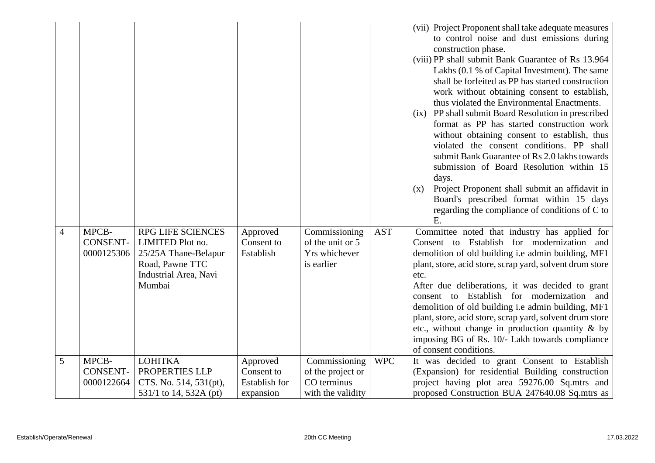| MPCB-<br>RPG LIFE SCIENCES<br><b>AST</b><br>Commissioning<br>Committee noted that industry has applied for<br>$\overline{4}$<br>Approved<br>CONSENT-<br>LIMITED Plot no.<br>Consent to<br>of the unit or 5<br>Yrs whichever<br>0000125306<br>Establish<br>25/25A Thane-Belapur<br>Road, Pawne TTC<br>is earlier<br>Industrial Area, Navi<br>etc.<br>Mumbai<br>of consent conditions.<br>5<br>MPCB-<br><b>LOHITKA</b><br><b>WPC</b><br>Commissioning<br>Approved<br><b>CONSENT-</b><br>PROPERTIES LLP<br>Consent to<br>of the project or<br>Establish for<br>CO terminus<br>0000122664<br>CTS. No. 514, 531(pt), |  |  |  | (vii) Project Proponent shall take adequate measures<br>to control noise and dust emissions during<br>construction phase.<br>(viii) PP shall submit Bank Guarantee of Rs 13.964<br>Lakhs (0.1 % of Capital Investment). The same<br>shall be forfeited as PP has started construction<br>work without obtaining consent to establish,<br>thus violated the Environmental Enactments.<br>(ix) PP shall submit Board Resolution in prescribed<br>format as PP has started construction work<br>without obtaining consent to establish, thus<br>violated the consent conditions. PP shall<br>submit Bank Guarantee of Rs 2.0 lakhs towards<br>submission of Board Resolution within 15<br>days.<br>Project Proponent shall submit an affidavit in<br>(x)<br>Board's prescribed format within 15 days<br>regarding the compliance of conditions of C to<br>E. |
|-----------------------------------------------------------------------------------------------------------------------------------------------------------------------------------------------------------------------------------------------------------------------------------------------------------------------------------------------------------------------------------------------------------------------------------------------------------------------------------------------------------------------------------------------------------------------------------------------------------------|--|--|--|-----------------------------------------------------------------------------------------------------------------------------------------------------------------------------------------------------------------------------------------------------------------------------------------------------------------------------------------------------------------------------------------------------------------------------------------------------------------------------------------------------------------------------------------------------------------------------------------------------------------------------------------------------------------------------------------------------------------------------------------------------------------------------------------------------------------------------------------------------------|
|                                                                                                                                                                                                                                                                                                                                                                                                                                                                                                                                                                                                                 |  |  |  | Consent to Establish for modernization and<br>demolition of old building i.e admin building, MF1<br>plant, store, acid store, scrap yard, solvent drum store<br>After due deliberations, it was decided to grant<br>consent to Establish for modernization and<br>demolition of old building i.e admin building, MF1<br>plant, store, acid store, scrap yard, solvent drum store<br>etc., without change in production quantity $\&$ by<br>imposing BG of Rs. 10/- Lakh towards compliance                                                                                                                                                                                                                                                                                                                                                                |
| 531/1 to 14, 532A (pt)<br>expansion<br>with the validity                                                                                                                                                                                                                                                                                                                                                                                                                                                                                                                                                        |  |  |  | It was decided to grant Consent to Establish<br>(Expansion) for residential Building construction<br>project having plot area 59276.00 Sq.mtrs and<br>proposed Construction BUA 247640.08 Sq.mtrs as                                                                                                                                                                                                                                                                                                                                                                                                                                                                                                                                                                                                                                                      |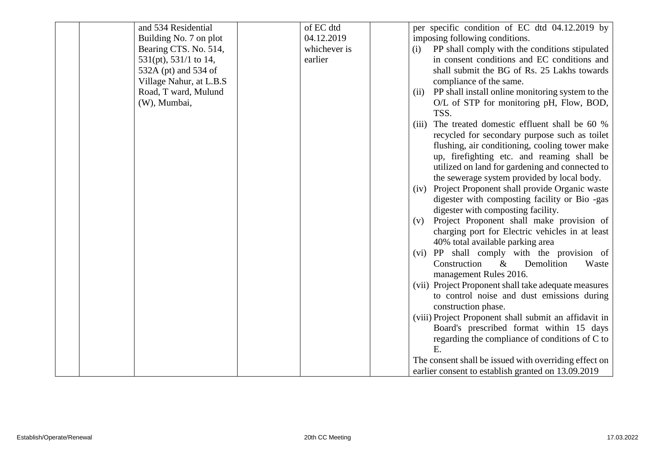| and 534 Residential      | of EC dtd    | per specific condition of EC dtd 04.12.2019 by           |
|--------------------------|--------------|----------------------------------------------------------|
| Building No. 7 on plot   | 04.12.2019   | imposing following conditions.                           |
| Bearing CTS. No. 514,    | whichever is | PP shall comply with the conditions stipulated<br>(i)    |
| 531(pt), 531/1 to 14,    | earlier      | in consent conditions and EC conditions and              |
| 532A (pt) and 534 of     |              | shall submit the BG of Rs. 25 Lakhs towards              |
| Village Nahur, at L.B.S. |              | compliance of the same.                                  |
| Road, T ward, Mulund     |              | PP shall install online monitoring system to the<br>(ii) |
| (W), Mumbai,             |              | O/L of STP for monitoring pH, Flow, BOD,                 |
|                          |              | TSS.                                                     |
|                          |              | The treated domestic effluent shall be 60 %<br>(iii)     |
|                          |              | recycled for secondary purpose such as toilet            |
|                          |              | flushing, air conditioning, cooling tower make           |
|                          |              | up, firefighting etc. and reaming shall be               |
|                          |              | utilized on land for gardening and connected to          |
|                          |              | the sewerage system provided by local body.              |
|                          |              | Project Proponent shall provide Organic waste<br>(iv)    |
|                          |              | digester with composting facility or Bio -gas            |
|                          |              | digester with composting facility.                       |
|                          |              | Project Proponent shall make provision of<br>(v)         |
|                          |              | charging port for Electric vehicles in at least          |
|                          |              | 40% total available parking area                         |
|                          |              | (vi) PP shall comply with the provision of               |
|                          |              | Construction<br>Demolition<br>$\&$<br>Waste              |
|                          |              | management Rules 2016.                                   |
|                          |              | (vii) Project Proponent shall take adequate measures     |
|                          |              | to control noise and dust emissions during               |
|                          |              | construction phase.                                      |
|                          |              | (viii) Project Proponent shall submit an affidavit in    |
|                          |              | Board's prescribed format within 15 days                 |
|                          |              | regarding the compliance of conditions of C to           |
|                          |              | Ε.                                                       |
|                          |              | The consent shall be issued with overriding effect on    |
|                          |              | earlier consent to establish granted on 13.09.2019       |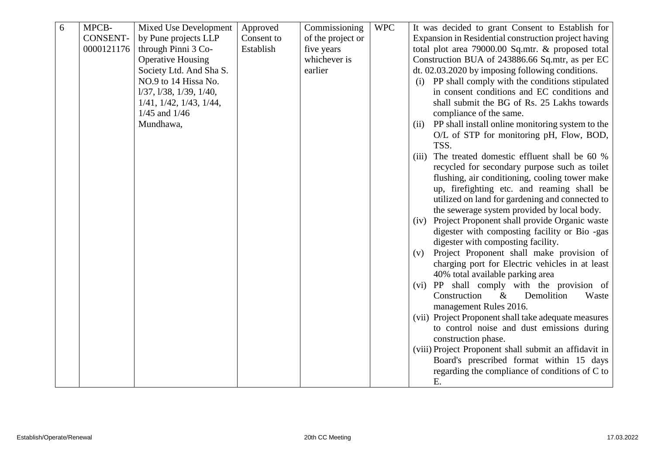| 6 | MPCB-           | <b>Mixed Use Development</b>        | Approved   | Commissioning     | <b>WPC</b> | It was decided to grant Consent to Establish for                                    |
|---|-----------------|-------------------------------------|------------|-------------------|------------|-------------------------------------------------------------------------------------|
|   | <b>CONSENT-</b> | by Pune projects LLP                | Consent to | of the project or |            | Expansion in Residential construction project having                                |
|   | 0000121176      | through Pinni 3 Co-                 | Establish  | five years        |            | total plot area 79000.00 Sq.mtr. & proposed total                                   |
|   |                 | <b>Operative Housing</b>            |            | whichever is      |            | Construction BUA of 243886.66 Sq.mtr, as per EC                                     |
|   |                 | Society Ltd. And Sha S.             |            | earlier           |            | dt. 02.03.2020 by imposing following conditions.                                    |
|   |                 | NO.9 to 14 Hissa No.                |            |                   |            | (i) PP shall comply with the conditions stipulated                                  |
|   |                 | $1/37$ , $1/38$ , $1/39$ , $1/40$ , |            |                   |            | in consent conditions and EC conditions and                                         |
|   |                 | $1/41$ , $1/42$ , $1/43$ , $1/44$ , |            |                   |            | shall submit the BG of Rs. 25 Lakhs towards                                         |
|   |                 | $1/45$ and $1/46$                   |            |                   |            | compliance of the same.                                                             |
|   |                 | Mundhawa,                           |            |                   |            | PP shall install online monitoring system to the<br>(ii)                            |
|   |                 |                                     |            |                   |            | O/L of STP for monitoring pH, Flow, BOD,                                            |
|   |                 |                                     |            |                   |            | TSS.                                                                                |
|   |                 |                                     |            |                   |            | The treated domestic effluent shall be 60 %<br>(iii)                                |
|   |                 |                                     |            |                   |            | recycled for secondary purpose such as toilet                                       |
|   |                 |                                     |            |                   |            | flushing, air conditioning, cooling tower make                                      |
|   |                 |                                     |            |                   |            | up, firefighting etc. and reaming shall be                                          |
|   |                 |                                     |            |                   |            | utilized on land for gardening and connected to                                     |
|   |                 |                                     |            |                   |            | the sewerage system provided by local body.                                         |
|   |                 |                                     |            |                   |            | Project Proponent shall provide Organic waste<br>(iv)                               |
|   |                 |                                     |            |                   |            | digester with composting facility or Bio -gas                                       |
|   |                 |                                     |            |                   |            | digester with composting facility.                                                  |
|   |                 |                                     |            |                   |            | Project Proponent shall make provision of<br>(v)                                    |
|   |                 |                                     |            |                   |            | charging port for Electric vehicles in at least<br>40% total available parking area |
|   |                 |                                     |            |                   |            | (vi) PP shall comply with the provision of                                          |
|   |                 |                                     |            |                   |            | Construction<br>Demolition<br>$\&$<br>Waste                                         |
|   |                 |                                     |            |                   |            | management Rules 2016.                                                              |
|   |                 |                                     |            |                   |            | (vii) Project Proponent shall take adequate measures                                |
|   |                 |                                     |            |                   |            | to control noise and dust emissions during                                          |
|   |                 |                                     |            |                   |            | construction phase.                                                                 |
|   |                 |                                     |            |                   |            | (viii) Project Proponent shall submit an affidavit in                               |
|   |                 |                                     |            |                   |            | Board's prescribed format within 15 days                                            |
|   |                 |                                     |            |                   |            | regarding the compliance of conditions of C to                                      |
|   |                 |                                     |            |                   |            | E.                                                                                  |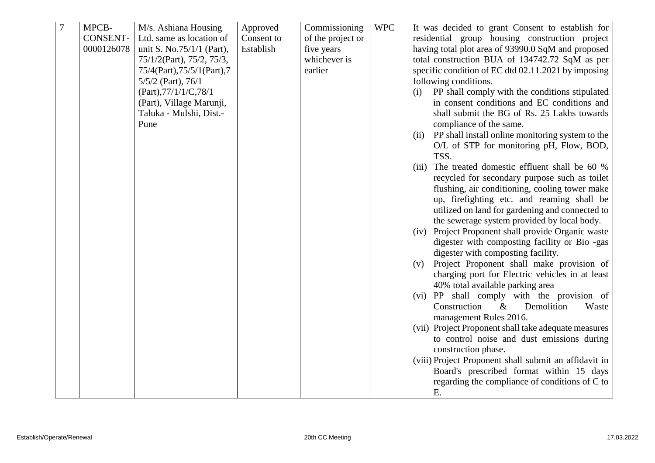| $\overline{7}$ | MPCB-      | M/s. Ashiana Housing        | Approved   | Commissioning     | <b>WPC</b> | It was decided to grant Consent to establish for         |
|----------------|------------|-----------------------------|------------|-------------------|------------|----------------------------------------------------------|
|                | CONSENT-   | Ltd. same as location of    | Consent to | of the project or |            | residential group housing construction project           |
|                | 0000126078 | unit S. No.75/1/1 (Part),   | Establish  | five years        |            | having total plot area of 93990.0 SqM and proposed       |
|                |            | 75/1/2(Part), 75/2, 75/3,   |            | whichever is      |            | total construction BUA of 134742.72 SqM as per           |
|                |            | 75/4(Part), 75/5/1(Part), 7 |            | earlier           |            | specific condition of EC dtd 02.11.2021 by imposing      |
|                |            | $5/5/2$ (Part), $76/1$      |            |                   |            | following conditions.                                    |
|                |            | (Part), 77/1/1/C, 78/1      |            |                   |            | PP shall comply with the conditions stipulated<br>(i)    |
|                |            | (Part), Village Marunji,    |            |                   |            | in consent conditions and EC conditions and              |
|                |            | Taluka - Mulshi, Dist.-     |            |                   |            | shall submit the BG of Rs. 25 Lakhs towards              |
|                |            | Pune                        |            |                   |            | compliance of the same.                                  |
|                |            |                             |            |                   |            | PP shall install online monitoring system to the<br>(ii) |
|                |            |                             |            |                   |            | O/L of STP for monitoring pH, Flow, BOD,                 |
|                |            |                             |            |                   |            | TSS.                                                     |
|                |            |                             |            |                   |            | The treated domestic effluent shall be 60 %<br>(iii)     |
|                |            |                             |            |                   |            | recycled for secondary purpose such as toilet            |
|                |            |                             |            |                   |            | flushing, air conditioning, cooling tower make           |
|                |            |                             |            |                   |            | up, firefighting etc. and reaming shall be               |
|                |            |                             |            |                   |            | utilized on land for gardening and connected to          |
|                |            |                             |            |                   |            | the sewerage system provided by local body.              |
|                |            |                             |            |                   |            | (iv) Project Proponent shall provide Organic waste       |
|                |            |                             |            |                   |            | digester with composting facility or Bio -gas            |
|                |            |                             |            |                   |            | digester with composting facility.                       |
|                |            |                             |            |                   |            | Project Proponent shall make provision of<br>(v)         |
|                |            |                             |            |                   |            | charging port for Electric vehicles in at least          |
|                |            |                             |            |                   |            | 40% total available parking area                         |
|                |            |                             |            |                   |            | (vi) PP shall comply with the provision of               |
|                |            |                             |            |                   |            | Construction<br>$\&$<br>Demolition<br>Waste              |
|                |            |                             |            |                   |            | management Rules 2016.                                   |
|                |            |                             |            |                   |            | (vii) Project Proponent shall take adequate measures     |
|                |            |                             |            |                   |            | to control noise and dust emissions during               |
|                |            |                             |            |                   |            | construction phase.                                      |
|                |            |                             |            |                   |            | (viii) Project Proponent shall submit an affidavit in    |
|                |            |                             |            |                   |            | Board's prescribed format within 15 days                 |
|                |            |                             |            |                   |            | regarding the compliance of conditions of C to           |
|                |            |                             |            |                   |            | E.                                                       |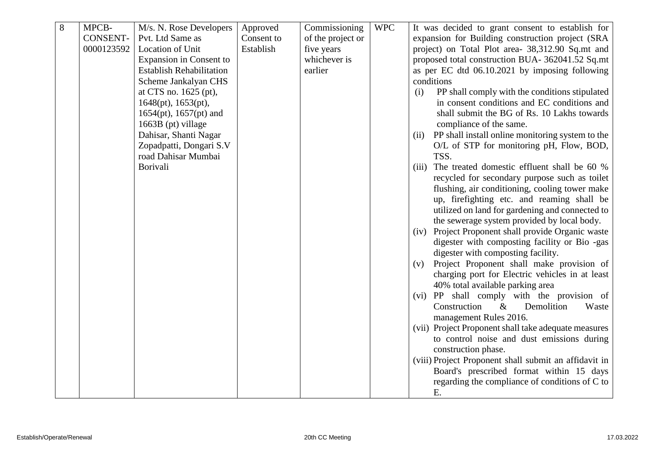| 8 | MPCB-           | M/s. N. Rose Developers         | Approved   | Commissioning     | <b>WPC</b> | It was decided to grant consent to establish for         |
|---|-----------------|---------------------------------|------------|-------------------|------------|----------------------------------------------------------|
|   | <b>CONSENT-</b> | Pvt. Ltd Same as                | Consent to | of the project or |            | expansion for Building construction project (SRA         |
|   | 0000123592      | Location of Unit                | Establish  | five years        |            | project) on Total Plot area- 38,312.90 Sq.mt and         |
|   |                 | <b>Expansion in Consent to</b>  |            | whichever is      |            | proposed total construction BUA- 362041.52 Sq.mt         |
|   |                 | <b>Establish Rehabilitation</b> |            | earlier           |            | as per EC dtd 06.10.2021 by imposing following           |
|   |                 | Scheme Jankalyan CHS            |            |                   |            | conditions                                               |
|   |                 | at CTS no. 1625 (pt),           |            |                   |            | PP shall comply with the conditions stipulated<br>(i)    |
|   |                 | 1648(pt), 1653(pt),             |            |                   |            | in consent conditions and EC conditions and              |
|   |                 | $1654(pt)$ , $1657(pt)$ and     |            |                   |            | shall submit the BG of Rs. 10 Lakhs towards              |
|   |                 | 1663B (pt) village              |            |                   |            | compliance of the same.                                  |
|   |                 | Dahisar, Shanti Nagar           |            |                   |            | PP shall install online monitoring system to the<br>(ii) |
|   |                 | Zopadpatti, Dongari S.V         |            |                   |            | O/L of STP for monitoring pH, Flow, BOD,                 |
|   |                 | road Dahisar Mumbai             |            |                   |            | TSS.                                                     |
|   |                 | Borivali                        |            |                   |            | The treated domestic effluent shall be 60 %<br>(iii)     |
|   |                 |                                 |            |                   |            | recycled for secondary purpose such as toilet            |
|   |                 |                                 |            |                   |            | flushing, air conditioning, cooling tower make           |
|   |                 |                                 |            |                   |            | up, firefighting etc. and reaming shall be               |
|   |                 |                                 |            |                   |            | utilized on land for gardening and connected to          |
|   |                 |                                 |            |                   |            | the sewerage system provided by local body.              |
|   |                 |                                 |            |                   |            | (iv) Project Proponent shall provide Organic waste       |
|   |                 |                                 |            |                   |            | digester with composting facility or Bio -gas            |
|   |                 |                                 |            |                   |            | digester with composting facility.                       |
|   |                 |                                 |            |                   |            | Project Proponent shall make provision of<br>(v)         |
|   |                 |                                 |            |                   |            | charging port for Electric vehicles in at least          |
|   |                 |                                 |            |                   |            | 40% total available parking area                         |
|   |                 |                                 |            |                   |            | (vi) PP shall comply with the provision of               |
|   |                 |                                 |            |                   |            | Construction<br>$\&$<br>Demolition<br>Waste              |
|   |                 |                                 |            |                   |            | management Rules 2016.                                   |
|   |                 |                                 |            |                   |            | (vii) Project Proponent shall take adequate measures     |
|   |                 |                                 |            |                   |            | to control noise and dust emissions during               |
|   |                 |                                 |            |                   |            | construction phase.                                      |
|   |                 |                                 |            |                   |            | (viii) Project Proponent shall submit an affidavit in    |
|   |                 |                                 |            |                   |            | Board's prescribed format within 15 days                 |
|   |                 |                                 |            |                   |            | regarding the compliance of conditions of C to           |
|   |                 |                                 |            |                   |            | E.                                                       |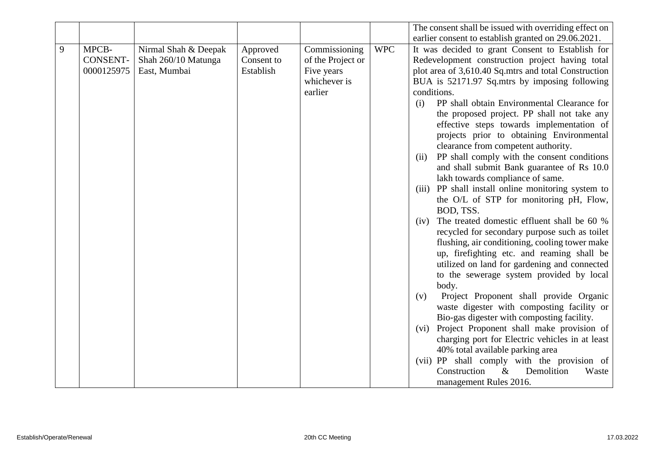|   |                 |                      |            |                   |            | The consent shall be issued with overriding effect on                 |
|---|-----------------|----------------------|------------|-------------------|------------|-----------------------------------------------------------------------|
|   |                 |                      |            |                   |            | earlier consent to establish granted on 29.06.2021.                   |
| 9 | MPCB-           | Nirmal Shah & Deepak | Approved   | Commissioning     | <b>WPC</b> | It was decided to grant Consent to Establish for                      |
|   | <b>CONSENT-</b> | Shah 260/10 Matunga  | Consent to | of the Project or |            | Redevelopment construction project having total                       |
|   | 0000125975      | East, Mumbai         | Establish  | Five years        |            | plot area of 3,610.40 Sq.mtrs and total Construction                  |
|   |                 |                      |            | whichever is      |            | BUA is 52171.97 Sq.mtrs by imposing following                         |
|   |                 |                      |            | earlier           |            | conditions.                                                           |
|   |                 |                      |            |                   |            | PP shall obtain Environmental Clearance for<br>(i)                    |
|   |                 |                      |            |                   |            | the proposed project. PP shall not take any                           |
|   |                 |                      |            |                   |            | effective steps towards implementation of                             |
|   |                 |                      |            |                   |            | projects prior to obtaining Environmental                             |
|   |                 |                      |            |                   |            | clearance from competent authority.                                   |
|   |                 |                      |            |                   |            | PP shall comply with the consent conditions<br>(ii)                   |
|   |                 |                      |            |                   |            | and shall submit Bank guarantee of Rs 10.0                            |
|   |                 |                      |            |                   |            | lakh towards compliance of same.                                      |
|   |                 |                      |            |                   |            | PP shall install online monitoring system to<br>(iii)                 |
|   |                 |                      |            |                   |            | the O/L of STP for monitoring pH, Flow,                               |
|   |                 |                      |            |                   |            | BOD, TSS.                                                             |
|   |                 |                      |            |                   |            | The treated domestic effluent shall be 60 %<br>(iv)                   |
|   |                 |                      |            |                   |            | recycled for secondary purpose such as toilet                         |
|   |                 |                      |            |                   |            | flushing, air conditioning, cooling tower make                        |
|   |                 |                      |            |                   |            | up, firefighting etc. and reaming shall be                            |
|   |                 |                      |            |                   |            | utilized on land for gardening and connected                          |
|   |                 |                      |            |                   |            | to the sewerage system provided by local                              |
|   |                 |                      |            |                   |            | body.                                                                 |
|   |                 |                      |            |                   |            | Project Proponent shall provide Organic<br>(v)                        |
|   |                 |                      |            |                   |            | waste digester with composting facility or                            |
|   |                 |                      |            |                   |            | Bio-gas digester with composting facility.                            |
|   |                 |                      |            |                   |            | (vi) Project Proponent shall make provision of                        |
|   |                 |                      |            |                   |            | charging port for Electric vehicles in at least                       |
|   |                 |                      |            |                   |            | 40% total available parking area                                      |
|   |                 |                      |            |                   |            | (vii) PP shall comply with the provision of                           |
|   |                 |                      |            |                   |            |                                                                       |
|   |                 |                      |            |                   |            | Construction<br>$\&$<br>Demolition<br>Waste<br>management Rules 2016. |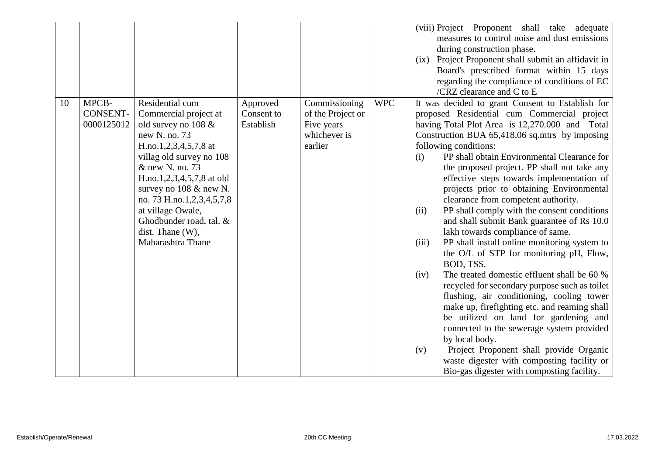|    |                                        |                                                                                                                                                                                                                                                                                   |                                     |                                                                             |            | (viii) Project Proponent shall take<br>adequate<br>measures to control noise and dust emissions<br>during construction phase.<br>(ix) Project Proponent shall submit an affidavit in<br>Board's prescribed format within 15 days<br>regarding the compliance of conditions of EC                                                                                                                                                                                                                                                                                                                                                                           |
|----|----------------------------------------|-----------------------------------------------------------------------------------------------------------------------------------------------------------------------------------------------------------------------------------------------------------------------------------|-------------------------------------|-----------------------------------------------------------------------------|------------|------------------------------------------------------------------------------------------------------------------------------------------------------------------------------------------------------------------------------------------------------------------------------------------------------------------------------------------------------------------------------------------------------------------------------------------------------------------------------------------------------------------------------------------------------------------------------------------------------------------------------------------------------------|
| 10 | MPCB-<br><b>CONSENT-</b><br>0000125012 | Residential cum<br>Commercial project at<br>old survey no $108 \&$<br>new N. no. 73<br>H.no.1,2,3,4,5,7,8 at<br>villag old survey no 108<br>& new N. no. 73<br>H.no.1,2,3,4,5,7,8 at old<br>survey no $108 \& \text{ new } N$ .<br>no. 73 H.no.1,2,3,4,5,7,8<br>at village Owale, | Approved<br>Consent to<br>Establish | Commissioning<br>of the Project or<br>Five years<br>whichever is<br>earlier | <b>WPC</b> | /CRZ clearance and C to E<br>It was decided to grant Consent to Establish for<br>proposed Residential cum Commercial project<br>having Total Plot Area is 12,270.000 and Total<br>Construction BUA 65,418.06 sq.mtrs by imposing<br>following conditions:<br>PP shall obtain Environmental Clearance for<br>(i)<br>the proposed project. PP shall not take any<br>effective steps towards implementation of<br>projects prior to obtaining Environmental<br>clearance from competent authority.<br>PP shall comply with the consent conditions<br>(ii)                                                                                                     |
|    |                                        | Ghodbunder road, tal. &<br>dist. Thane (W),<br>Maharashtra Thane                                                                                                                                                                                                                  |                                     |                                                                             |            | and shall submit Bank guarantee of Rs 10.0<br>lakh towards compliance of same.<br>PP shall install online monitoring system to<br>(iii)<br>the O/L of STP for monitoring pH, Flow,<br>BOD, TSS.<br>The treated domestic effluent shall be 60 %<br>(iv)<br>recycled for secondary purpose such as toilet<br>flushing, air conditioning, cooling tower<br>make up, firefighting etc. and reaming shall<br>be utilized on land for gardening and<br>connected to the sewerage system provided<br>by local body.<br>Project Proponent shall provide Organic<br>(v)<br>waste digester with composting facility or<br>Bio-gas digester with composting facility. |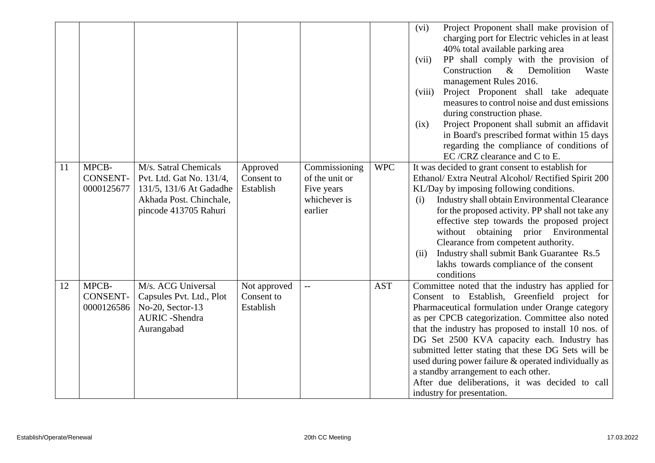|    |                                        |                                                                                                                                  |                                         |                                                                          |            | Project Proponent shall make provision of<br>(vi)<br>charging port for Electric vehicles in at least<br>40% total available parking area<br>PP shall comply with the provision of<br>(vii)<br>Demolition<br>Construction<br>$\&$<br>Waste<br>management Rules 2016.<br>Project Proponent shall take adequate<br>(viii)<br>measures to control noise and dust emissions<br>during construction phase.<br>Project Proponent shall submit an affidavit<br>(ix)<br>in Board's prescribed format within 15 days<br>regarding the compliance of conditions of<br>EC/CRZ clearance and C to E. |
|----|----------------------------------------|----------------------------------------------------------------------------------------------------------------------------------|-----------------------------------------|--------------------------------------------------------------------------|------------|-----------------------------------------------------------------------------------------------------------------------------------------------------------------------------------------------------------------------------------------------------------------------------------------------------------------------------------------------------------------------------------------------------------------------------------------------------------------------------------------------------------------------------------------------------------------------------------------|
| 11 | MPCB-<br><b>CONSENT-</b><br>0000125677 | M/s. Satral Chemicals<br>Pvt. Ltd. Gat No. 131/4,<br>131/5, 131/6 At Gadadhe<br>Akhada Post. Chinchale,<br>pincode 413705 Rahuri | Approved<br>Consent to<br>Establish     | Commissioning<br>of the unit or<br>Five years<br>whichever is<br>earlier | <b>WPC</b> | It was decided to grant consent to establish for<br>Ethanol/ Extra Neutral Alcohol/ Rectified Spirit 200<br>KL/Day by imposing following conditions.<br>Industry shall obtain Environmental Clearance<br>(i)<br>for the proposed activity. PP shall not take any<br>effective step towards the proposed project<br>without obtaining prior Environmental<br>Clearance from competent authority.<br>Industry shall submit Bank Guarantee Rs.5<br>(ii)<br>lakhs towards compliance of the consent<br>conditions                                                                           |
| 12 | MPCB-<br><b>CONSENT-</b><br>0000126586 | M/s. ACG Universal<br>Capsules Pvt. Ltd., Plot<br>No-20, Sector-13<br><b>AURIC</b> - Shendra<br>Aurangabad                       | Not approved<br>Consent to<br>Establish | $\mathbf{u}$                                                             | <b>AST</b> | Committee noted that the industry has applied for<br>Consent to Establish, Greenfield project for<br>Pharmaceutical formulation under Orange category<br>as per CPCB categorization. Committee also noted<br>that the industry has proposed to install 10 nos. of<br>DG Set 2500 KVA capacity each. Industry has<br>submitted letter stating that these DG Sets will be<br>used during power failure & operated individually as<br>a standby arrangement to each other.<br>After due deliberations, it was decided to call<br>industry for presentation.                                |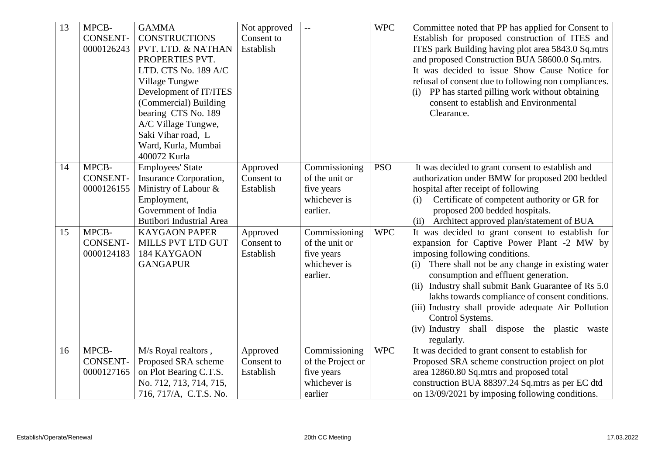| 13 | MPCB-<br><b>CONSENT-</b><br>0000126243 | <b>GAMMA</b><br><b>CONSTRUCTIONS</b><br>PVT. LTD. & NATHAN<br>PROPERTIES PVT.<br>LTD. CTS No. 189 A/C<br>Village Tungwe<br>Development of IT/ITES<br>(Commercial) Building<br>bearing CTS No. 189<br>A/C Village Tungwe,<br>Saki Vihar road, L<br>Ward, Kurla, Mumbai<br>400072 Kurla | Not approved<br>Consent to<br>Establish | $\mathbb{L}\mathbb{L}$                                                      | <b>WPC</b> | Committee noted that PP has applied for Consent to<br>Establish for proposed construction of ITES and<br>ITES park Building having plot area 5843.0 Sq.mtrs<br>and proposed Construction BUA 58600.0 Sq.mtrs.<br>It was decided to issue Show Cause Notice for<br>refusal of consent due to following non compliances.<br>PP has started pilling work without obtaining<br>(i)<br>consent to establish and Environmental<br>Clearance.                                                 |
|----|----------------------------------------|---------------------------------------------------------------------------------------------------------------------------------------------------------------------------------------------------------------------------------------------------------------------------------------|-----------------------------------------|-----------------------------------------------------------------------------|------------|----------------------------------------------------------------------------------------------------------------------------------------------------------------------------------------------------------------------------------------------------------------------------------------------------------------------------------------------------------------------------------------------------------------------------------------------------------------------------------------|
| 14 | MPCB-<br><b>CONSENT-</b><br>0000126155 | <b>Employees'</b> State<br>Insurance Corporation,<br>Ministry of Labour &<br>Employment,<br>Government of India<br><b>Butibori Industrial Area</b>                                                                                                                                    | Approved<br>Consent to<br>Establish     | Commissioning<br>of the unit or<br>five years<br>whichever is<br>earlier.   | <b>PSO</b> | It was decided to grant consent to establish and<br>authorization under BMW for proposed 200 bedded<br>hospital after receipt of following<br>Certificate of competent authority or GR for<br>(i)<br>proposed 200 bedded hospitals.<br>(ii) Architect approved plan/statement of BUA                                                                                                                                                                                                   |
| 15 | MPCB-<br><b>CONSENT-</b><br>0000124183 | <b>KAYGAON PAPER</b><br>MILLS PVT LTD GUT<br>184 KAYGAON<br><b>GANGAPUR</b>                                                                                                                                                                                                           | Approved<br>Consent to<br>Establish     | Commissioning<br>of the unit or<br>five years<br>whichever is<br>earlier.   | <b>WPC</b> | It was decided to grant consent to establish for<br>expansion for Captive Power Plant -2 MW by<br>imposing following conditions.<br>There shall not be any change in existing water<br>(i)<br>consumption and effluent generation.<br>(ii) Industry shall submit Bank Guarantee of Rs 5.0<br>lakhs towards compliance of consent conditions.<br>(iii) Industry shall provide adequate Air Pollution<br>Control Systems.<br>(iv) Industry shall dispose the plastic waste<br>regularly. |
| 16 | MPCB-<br><b>CONSENT-</b><br>0000127165 | M/s Royal realtors,<br>Proposed SRA scheme<br>on Plot Bearing C.T.S.<br>No. 712, 713, 714, 715,<br>716, 717/A, C.T.S. No.                                                                                                                                                             | Approved<br>Consent to<br>Establish     | Commissioning<br>of the Project or<br>five years<br>whichever is<br>earlier | <b>WPC</b> | It was decided to grant consent to establish for<br>Proposed SRA scheme construction project on plot<br>area 12860.80 Sq.mtrs and proposed total<br>construction BUA 88397.24 Sq.mtrs as per EC dtd<br>on $13/09/2021$ by imposing following conditions.                                                                                                                                                                                                                               |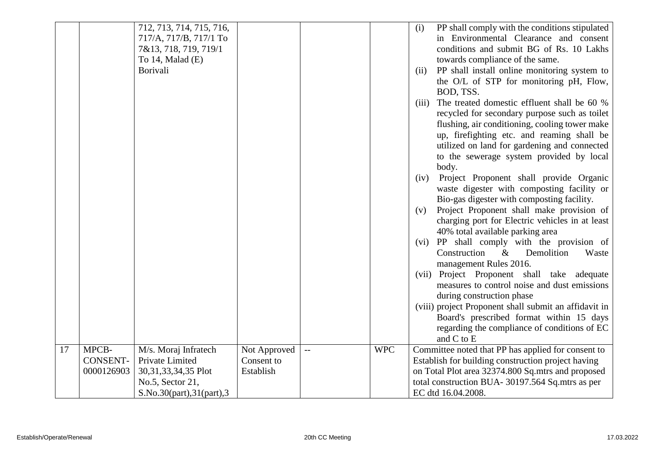|    |                 | 712, 713, 714, 715, 716,   |              |                          |            | (i)   | PP shall comply with the conditions stipulated        |
|----|-----------------|----------------------------|--------------|--------------------------|------------|-------|-------------------------------------------------------|
|    |                 | 717/A, 717/B, 717/1 To     |              |                          |            |       | in Environmental Clearance and consent                |
|    |                 | 7&13, 718, 719, 719/1      |              |                          |            |       | conditions and submit BG of Rs. 10 Lakhs              |
|    |                 | To $14$ , Malad $(E)$      |              |                          |            |       | towards compliance of the same.                       |
|    |                 | Borivali                   |              |                          |            | (ii)  | PP shall install online monitoring system to          |
|    |                 |                            |              |                          |            |       | the O/L of STP for monitoring pH, Flow,               |
|    |                 |                            |              |                          |            |       | BOD, TSS.                                             |
|    |                 |                            |              |                          |            | (iii) | The treated domestic effluent shall be 60 %           |
|    |                 |                            |              |                          |            |       | recycled for secondary purpose such as toilet         |
|    |                 |                            |              |                          |            |       | flushing, air conditioning, cooling tower make        |
|    |                 |                            |              |                          |            |       | up, firefighting etc. and reaming shall be            |
|    |                 |                            |              |                          |            |       | utilized on land for gardening and connected          |
|    |                 |                            |              |                          |            |       | to the sewerage system provided by local              |
|    |                 |                            |              |                          |            |       | body.                                                 |
|    |                 |                            |              |                          |            | (iv)  | Project Proponent shall provide Organic               |
|    |                 |                            |              |                          |            |       | waste digester with composting facility or            |
|    |                 |                            |              |                          |            |       | Bio-gas digester with composting facility.            |
|    |                 |                            |              |                          |            | (v)   | Project Proponent shall make provision of             |
|    |                 |                            |              |                          |            |       | charging port for Electric vehicles in at least       |
|    |                 |                            |              |                          |            |       | 40% total available parking area                      |
|    |                 |                            |              |                          |            |       | (vi) PP shall comply with the provision of            |
|    |                 |                            |              |                          |            |       | Construction<br>$\&$<br>Demolition<br>Waste           |
|    |                 |                            |              |                          |            |       | management Rules 2016.                                |
|    |                 |                            |              |                          |            |       | (vii) Project Proponent shall take adequate           |
|    |                 |                            |              |                          |            |       | measures to control noise and dust emissions          |
|    |                 |                            |              |                          |            |       | during construction phase                             |
|    |                 |                            |              |                          |            |       | (viii) project Proponent shall submit an affidavit in |
|    |                 |                            |              |                          |            |       | Board's prescribed format within 15 days              |
|    |                 |                            |              |                          |            |       | regarding the compliance of conditions of EC          |
|    |                 |                            |              |                          |            |       | and C to E                                            |
| 17 | MPCB-           | M/s. Moraj Infratech       | Not Approved | $\overline{\phantom{a}}$ | <b>WPC</b> |       | Committee noted that PP has applied for consent to    |
|    | <b>CONSENT-</b> | Private Limited            | Consent to   |                          |            |       | Establish for building construction project having    |
|    | 0000126903      | 30, 31, 33, 34, 35 Plot    | Establish    |                          |            |       | on Total Plot area 32374.800 Sq.mtrs and proposed     |
|    |                 | No.5, Sector 21,           |              |                          |            |       | total construction BUA- 30197.564 Sq.mtrs as per      |
|    |                 | S.No.30(part), 31(part), 3 |              |                          |            |       | EC dtd 16.04.2008.                                    |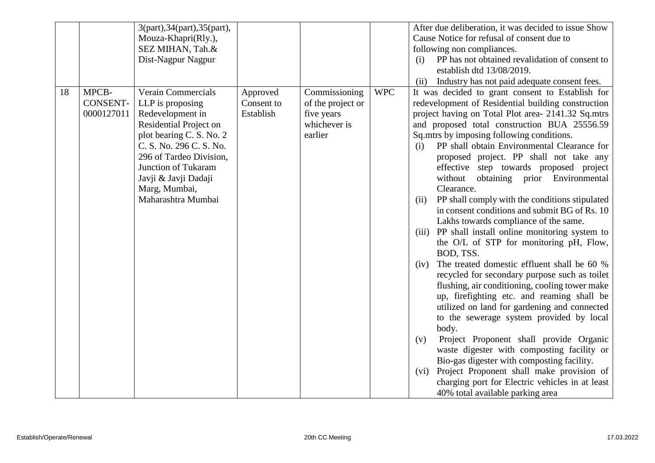|    |                 | 3(part), 34(part), 35(part), |            |                   |            | After due deliberation, it was decided to issue Show   |
|----|-----------------|------------------------------|------------|-------------------|------------|--------------------------------------------------------|
|    |                 | Mouza-Khapri(Rly.),          |            |                   |            | Cause Notice for refusal of consent due to             |
|    |                 | SEZ MIHAN, Tah.&             |            |                   |            |                                                        |
|    |                 |                              |            |                   |            | following non compliances.                             |
|    |                 | Dist-Nagpur Nagpur           |            |                   |            | PP has not obtained revalidation of consent to<br>(i)  |
|    |                 |                              |            |                   |            | establish dtd 13/08/2019.                              |
|    |                 |                              |            |                   |            | Industry has not paid adequate consent fees.<br>(ii)   |
| 18 | MPCB-           | <b>Verain Commercials</b>    | Approved   | Commissioning     | <b>WPC</b> | It was decided to grant consent to Establish for       |
|    | <b>CONSENT-</b> | LLP is proposing             | Consent to | of the project or |            | redevelopment of Residential building construction     |
|    | 0000127011      | Redevelopment in             | Establish  | five years        |            | project having on Total Plot area- 2141.32 Sq.mtrs     |
|    |                 | Residential Project on       |            | whichever is      |            | and proposed total construction BUA 25556.59           |
|    |                 | plot bearing C. S. No. 2     |            | earlier           |            | Sq.mtrs by imposing following conditions.              |
|    |                 | C. S. No. 296 C. S. No.      |            |                   |            | PP shall obtain Environmental Clearance for<br>(i)     |
|    |                 | 296 of Tardeo Division,      |            |                   |            | proposed project. PP shall not take any                |
|    |                 | Junction of Tukaram          |            |                   |            | effective step towards proposed project                |
|    |                 | Javji & Javji Dadaji         |            |                   |            | without<br>obtaining prior Environmental               |
|    |                 | Marg, Mumbai,                |            |                   |            | Clearance.                                             |
|    |                 | Maharashtra Mumbai           |            |                   |            | PP shall comply with the conditions stipulated<br>(ii) |
|    |                 |                              |            |                   |            | in consent conditions and submit BG of Rs. 10          |
|    |                 |                              |            |                   |            | Lakhs towards compliance of the same.                  |
|    |                 |                              |            |                   |            |                                                        |
|    |                 |                              |            |                   |            | (iii) PP shall install online monitoring system to     |
|    |                 |                              |            |                   |            | the O/L of STP for monitoring pH, Flow,<br>BOD, TSS.   |
|    |                 |                              |            |                   |            | The treated domestic effluent shall be 60 %<br>(iv)    |
|    |                 |                              |            |                   |            | recycled for secondary purpose such as toilet          |
|    |                 |                              |            |                   |            | flushing, air conditioning, cooling tower make         |
|    |                 |                              |            |                   |            | up, firefighting etc. and reaming shall be             |
|    |                 |                              |            |                   |            |                                                        |
|    |                 |                              |            |                   |            | utilized on land for gardening and connected           |
|    |                 |                              |            |                   |            | to the sewerage system provided by local               |
|    |                 |                              |            |                   |            | body.                                                  |
|    |                 |                              |            |                   |            | Project Proponent shall provide Organic<br>(v)         |
|    |                 |                              |            |                   |            | waste digester with composting facility or             |
|    |                 |                              |            |                   |            | Bio-gas digester with composting facility.             |
|    |                 |                              |            |                   |            | Project Proponent shall make provision of<br>(vi)      |
|    |                 |                              |            |                   |            | charging port for Electric vehicles in at least        |
|    |                 |                              |            |                   |            | 40% total available parking area                       |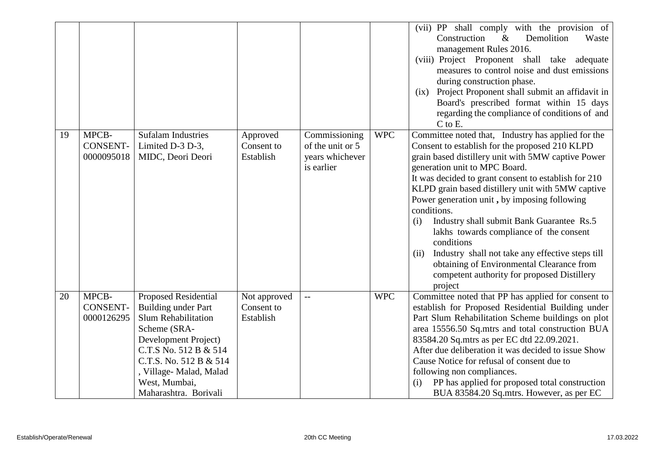|    |                                        |                                                                                                                                                                                                                                                  |                                         |                                                                    |            | (vii) PP shall comply with the provision of<br>Construction<br>Demolition<br>$\&$<br>Waste<br>management Rules 2016.<br>(viii) Project Proponent shall take adequate<br>measures to control noise and dust emissions<br>during construction phase.<br>(ix) Project Proponent shall submit an affidavit in<br>Board's prescribed format within 15 days<br>regarding the compliance of conditions of and<br>C to E.                                                                                                                                                                                                                                       |
|----|----------------------------------------|--------------------------------------------------------------------------------------------------------------------------------------------------------------------------------------------------------------------------------------------------|-----------------------------------------|--------------------------------------------------------------------|------------|---------------------------------------------------------------------------------------------------------------------------------------------------------------------------------------------------------------------------------------------------------------------------------------------------------------------------------------------------------------------------------------------------------------------------------------------------------------------------------------------------------------------------------------------------------------------------------------------------------------------------------------------------------|
| 19 | MPCB-<br><b>CONSENT-</b><br>0000095018 | <b>Sufalam Industries</b><br>Limited D-3 D-3,<br>MIDC, Deori Deori                                                                                                                                                                               | Approved<br>Consent to<br>Establish     | Commissioning<br>of the unit or 5<br>years whichever<br>is earlier | <b>WPC</b> | Committee noted that, Industry has applied for the<br>Consent to establish for the proposed 210 KLPD<br>grain based distillery unit with 5MW captive Power<br>generation unit to MPC Board.<br>It was decided to grant consent to establish for 210<br>KLPD grain based distillery unit with 5MW captive<br>Power generation unit, by imposing following<br>conditions.<br>Industry shall submit Bank Guarantee Rs.5<br>(i)<br>lakhs towards compliance of the consent<br>conditions<br>Industry shall not take any effective steps till<br>(ii)<br>obtaining of Environmental Clearance from<br>competent authority for proposed Distillery<br>project |
| 20 | MPCB-<br><b>CONSENT-</b><br>0000126295 | <b>Proposed Residential</b><br>Building under Part<br><b>Slum Rehabilitation</b><br>Scheme (SRA-<br>Development Project)<br>C.T.S No. 512 B & 514<br>C.T.S. No. 512 B & 514<br>, Village- Malad, Malad<br>West, Mumbai,<br>Maharashtra. Borivali | Not approved<br>Consent to<br>Establish | $\overline{a}$                                                     | <b>WPC</b> | Committee noted that PP has applied for consent to<br>establish for Proposed Residential Building under<br>Part Slum Rehabilitation Scheme buildings on plot<br>area 15556.50 Sq.mtrs and total construction BUA<br>83584.20 Sq.mtrs as per EC dtd 22.09.2021.<br>After due deliberation it was decided to issue Show<br>Cause Notice for refusal of consent due to<br>following non compliances.<br>PP has applied for proposed total construction<br>(i)<br>BUA 83584.20 Sq.mtrs. However, as per EC                                                                                                                                                  |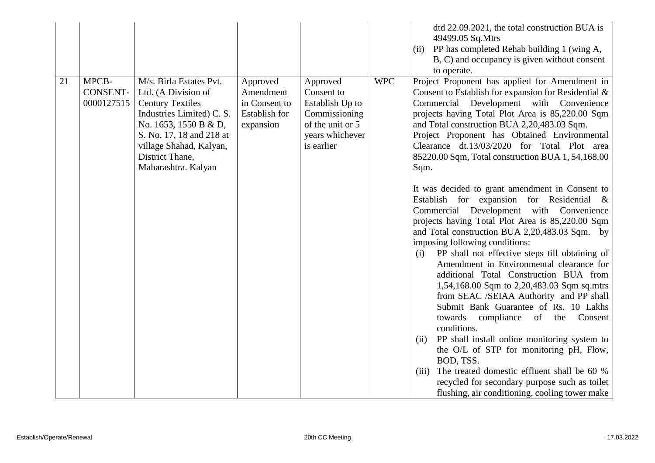|    |                                        |                                                                                                                                                                                                                                  |                                                                             |                                                                                                                 |            | dtd 22.09.2021, the total construction BUA is                                                                                                                                                                                                                                                                                                                                                                                                                                                                                                                                                                                                                                                                                                                                                                                                                                                                                                                                                                                                                                                                                                                                                                                                                                              |
|----|----------------------------------------|----------------------------------------------------------------------------------------------------------------------------------------------------------------------------------------------------------------------------------|-----------------------------------------------------------------------------|-----------------------------------------------------------------------------------------------------------------|------------|--------------------------------------------------------------------------------------------------------------------------------------------------------------------------------------------------------------------------------------------------------------------------------------------------------------------------------------------------------------------------------------------------------------------------------------------------------------------------------------------------------------------------------------------------------------------------------------------------------------------------------------------------------------------------------------------------------------------------------------------------------------------------------------------------------------------------------------------------------------------------------------------------------------------------------------------------------------------------------------------------------------------------------------------------------------------------------------------------------------------------------------------------------------------------------------------------------------------------------------------------------------------------------------------|
|    |                                        |                                                                                                                                                                                                                                  |                                                                             |                                                                                                                 |            | 49499.05 Sq.Mtrs                                                                                                                                                                                                                                                                                                                                                                                                                                                                                                                                                                                                                                                                                                                                                                                                                                                                                                                                                                                                                                                                                                                                                                                                                                                                           |
|    |                                        |                                                                                                                                                                                                                                  |                                                                             |                                                                                                                 |            | PP has completed Rehab building 1 (wing A,<br>(ii)                                                                                                                                                                                                                                                                                                                                                                                                                                                                                                                                                                                                                                                                                                                                                                                                                                                                                                                                                                                                                                                                                                                                                                                                                                         |
|    |                                        |                                                                                                                                                                                                                                  |                                                                             |                                                                                                                 |            | B, C) and occupancy is given without consent                                                                                                                                                                                                                                                                                                                                                                                                                                                                                                                                                                                                                                                                                                                                                                                                                                                                                                                                                                                                                                                                                                                                                                                                                                               |
|    |                                        |                                                                                                                                                                                                                                  |                                                                             |                                                                                                                 |            |                                                                                                                                                                                                                                                                                                                                                                                                                                                                                                                                                                                                                                                                                                                                                                                                                                                                                                                                                                                                                                                                                                                                                                                                                                                                                            |
| 21 | MPCB-<br><b>CONSENT-</b><br>0000127515 | M/s. Birla Estates Pvt.<br>Ltd. (A Division of<br><b>Century Textiles</b><br>Industries Limited) C. S.<br>No. 1653, 1550 B & D,<br>S. No. 17, 18 and 218 at<br>village Shahad, Kalyan,<br>District Thane,<br>Maharashtra. Kalyan | Approved<br>Amendment<br>in Consent to<br><b>Establish for</b><br>expansion | Approved<br>Consent to<br>Establish Up to<br>Commissioning<br>of the unit or 5<br>years whichever<br>is earlier | <b>WPC</b> | to operate.<br>Project Proponent has applied for Amendment in<br>Consent to Establish for expansion for Residential &<br>Commercial Development with Convenience<br>projects having Total Plot Area is 85,220.00 Sqm<br>and Total construction BUA 2,20,483.03 Sqm.<br>Project Proponent has Obtained Environmental<br>Clearance dt.13/03/2020 for Total Plot area<br>85220.00 Sqm, Total construction BUA 1, 54, 168.00<br>Sqm.<br>It was decided to grant amendment in Consent to<br>Establish for expansion for Residential $\&$<br>Commercial Development with Convenience<br>projects having Total Plot Area is 85,220.00 Sqm<br>and Total construction BUA 2,20,483.03 Sqm. by<br>imposing following conditions:<br>PP shall not effective steps till obtaining of<br>(i)<br>Amendment in Environmental clearance for<br>additional Total Construction BUA from<br>1,54,168.00 Sqm to 2,20,483.03 Sqm sq.mtrs<br>from SEAC /SEIAA Authority and PP shall<br>Submit Bank Guarantee of Rs. 10 Lakhs<br>towards<br>compliance of the<br>Consent<br>conditions.<br>PP shall install online monitoring system to<br>(ii)<br>the O/L of STP for monitoring pH, Flow,<br>BOD, TSS.<br>The treated domestic effluent shall be 60 %<br>(iii)<br>recycled for secondary purpose such as toilet |
|    |                                        |                                                                                                                                                                                                                                  |                                                                             |                                                                                                                 |            | flushing, air conditioning, cooling tower make                                                                                                                                                                                                                                                                                                                                                                                                                                                                                                                                                                                                                                                                                                                                                                                                                                                                                                                                                                                                                                                                                                                                                                                                                                             |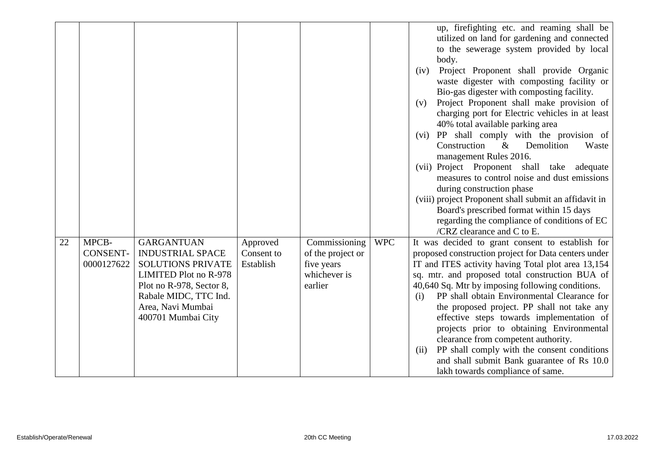|    |                               |                                                     |                         |                            |            | up, firefighting etc. and reaming shall be<br>utilized on land for gardening and connected            |
|----|-------------------------------|-----------------------------------------------------|-------------------------|----------------------------|------------|-------------------------------------------------------------------------------------------------------|
|    |                               |                                                     |                         |                            |            | to the sewerage system provided by local                                                              |
|    |                               |                                                     |                         |                            |            | body.<br>Project Proponent shall provide Organic<br>(iv)                                              |
|    |                               |                                                     |                         |                            |            | waste digester with composting facility or                                                            |
|    |                               |                                                     |                         |                            |            | Bio-gas digester with composting facility.<br>Project Proponent shall make provision of<br>(v)        |
|    |                               |                                                     |                         |                            |            | charging port for Electric vehicles in at least                                                       |
|    |                               |                                                     |                         |                            |            | 40% total available parking area                                                                      |
|    |                               |                                                     |                         |                            |            | (vi) PP shall comply with the provision of                                                            |
|    |                               |                                                     |                         |                            |            | Construction<br>$\&$<br>Demolition<br>Waste<br>management Rules 2016.                                 |
|    |                               |                                                     |                         |                            |            | (vii) Project Proponent shall take adequate                                                           |
|    |                               |                                                     |                         |                            |            | measures to control noise and dust emissions                                                          |
|    |                               |                                                     |                         |                            |            | during construction phase                                                                             |
|    |                               |                                                     |                         |                            |            | (viii) project Proponent shall submit an affidavit in<br>Board's prescribed format within 15 days     |
|    |                               |                                                     |                         |                            |            | regarding the compliance of conditions of EC                                                          |
|    |                               |                                                     |                         |                            |            | /CRZ clearance and C to E.                                                                            |
| 22 | MPCB-                         | <b>GARGANTUAN</b>                                   | Approved                | Commissioning              | <b>WPC</b> | It was decided to grant consent to establish for                                                      |
|    | <b>CONSENT-</b><br>0000127622 | <b>INDUSTRIAL SPACE</b><br><b>SOLUTIONS PRIVATE</b> | Consent to<br>Establish | of the project or          |            | proposed construction project for Data centers under                                                  |
|    |                               | LIMITED Plot no R-978                               |                         | five years<br>whichever is |            | IT and ITES activity having Total plot area 13,154<br>sq. mtr. and proposed total construction BUA of |
|    |                               | Plot no R-978, Sector 8,                            |                         | earlier                    |            | 40,640 Sq. Mtr by imposing following conditions.                                                      |
|    |                               | Rabale MIDC, TTC Ind.                               |                         |                            |            | PP shall obtain Environmental Clearance for<br>(i)                                                    |
|    |                               | Area, Navi Mumbai                                   |                         |                            |            | the proposed project. PP shall not take any                                                           |
|    |                               | 400701 Mumbai City                                  |                         |                            |            | effective steps towards implementation of                                                             |
|    |                               |                                                     |                         |                            |            | projects prior to obtaining Environmental<br>clearance from competent authority.                      |
|    |                               |                                                     |                         |                            |            | PP shall comply with the consent conditions<br>(ii)                                                   |
|    |                               |                                                     |                         |                            |            | and shall submit Bank guarantee of Rs 10.0                                                            |
|    |                               |                                                     |                         |                            |            | lakh towards compliance of same.                                                                      |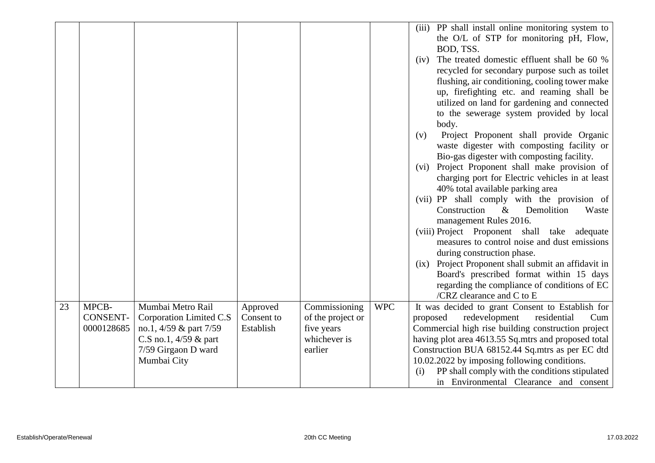|    |                 |                         |            |                   |            | (iii) PP shall install online monitoring system to<br>the O/L of STP for monitoring pH, Flow,<br>BOD, TSS.<br>The treated domestic effluent shall be 60 %<br>(iv)<br>recycled for secondary purpose such as toilet<br>flushing, air conditioning, cooling tower make<br>up, firefighting etc. and reaming shall be<br>utilized on land for gardening and connected<br>to the sewerage system provided by local<br>body.<br>Project Proponent shall provide Organic<br>(v)<br>waste digester with composting facility or<br>Bio-gas digester with composting facility.<br>(vi) Project Proponent shall make provision of<br>charging port for Electric vehicles in at least |
|----|-----------------|-------------------------|------------|-------------------|------------|----------------------------------------------------------------------------------------------------------------------------------------------------------------------------------------------------------------------------------------------------------------------------------------------------------------------------------------------------------------------------------------------------------------------------------------------------------------------------------------------------------------------------------------------------------------------------------------------------------------------------------------------------------------------------|
|    |                 |                         |            |                   |            |                                                                                                                                                                                                                                                                                                                                                                                                                                                                                                                                                                                                                                                                            |
|    |                 |                         |            |                   |            |                                                                                                                                                                                                                                                                                                                                                                                                                                                                                                                                                                                                                                                                            |
|    |                 |                         |            |                   |            |                                                                                                                                                                                                                                                                                                                                                                                                                                                                                                                                                                                                                                                                            |
|    |                 |                         |            |                   |            |                                                                                                                                                                                                                                                                                                                                                                                                                                                                                                                                                                                                                                                                            |
|    |                 |                         |            |                   |            |                                                                                                                                                                                                                                                                                                                                                                                                                                                                                                                                                                                                                                                                            |
|    |                 |                         |            |                   |            |                                                                                                                                                                                                                                                                                                                                                                                                                                                                                                                                                                                                                                                                            |
|    |                 |                         |            |                   |            |                                                                                                                                                                                                                                                                                                                                                                                                                                                                                                                                                                                                                                                                            |
|    |                 |                         |            |                   |            |                                                                                                                                                                                                                                                                                                                                                                                                                                                                                                                                                                                                                                                                            |
|    |                 |                         |            |                   |            |                                                                                                                                                                                                                                                                                                                                                                                                                                                                                                                                                                                                                                                                            |
|    |                 |                         |            |                   |            |                                                                                                                                                                                                                                                                                                                                                                                                                                                                                                                                                                                                                                                                            |
|    |                 |                         |            |                   |            | 40% total available parking area                                                                                                                                                                                                                                                                                                                                                                                                                                                                                                                                                                                                                                           |
|    |                 |                         |            |                   |            | (vii) PP shall comply with the provision of                                                                                                                                                                                                                                                                                                                                                                                                                                                                                                                                                                                                                                |
|    |                 |                         |            |                   |            | Construction<br>Demolition<br>$\&$<br>Waste                                                                                                                                                                                                                                                                                                                                                                                                                                                                                                                                                                                                                                |
|    |                 |                         |            |                   |            | management Rules 2016.                                                                                                                                                                                                                                                                                                                                                                                                                                                                                                                                                                                                                                                     |
|    |                 |                         |            |                   |            | (viii) Project Proponent shall take<br>adequate                                                                                                                                                                                                                                                                                                                                                                                                                                                                                                                                                                                                                            |
|    |                 |                         |            |                   |            | measures to control noise and dust emissions                                                                                                                                                                                                                                                                                                                                                                                                                                                                                                                                                                                                                               |
|    |                 |                         |            |                   |            | during construction phase.                                                                                                                                                                                                                                                                                                                                                                                                                                                                                                                                                                                                                                                 |
|    |                 |                         |            |                   |            | (ix) Project Proponent shall submit an affidavit in                                                                                                                                                                                                                                                                                                                                                                                                                                                                                                                                                                                                                        |
|    |                 |                         |            |                   |            | Board's prescribed format within 15 days                                                                                                                                                                                                                                                                                                                                                                                                                                                                                                                                                                                                                                   |
|    |                 |                         |            |                   |            | regarding the compliance of conditions of EC<br>/CRZ clearance and C to E                                                                                                                                                                                                                                                                                                                                                                                                                                                                                                                                                                                                  |
| 23 | MPCB-           | Mumbai Metro Rail       | Approved   | Commissioning     | <b>WPC</b> | It was decided to grant Consent to Establish for                                                                                                                                                                                                                                                                                                                                                                                                                                                                                                                                                                                                                           |
|    | <b>CONSENT-</b> | Corporation Limited C.S | Consent to | of the project or |            | redevelopment<br>residential<br>proposed<br>Cum                                                                                                                                                                                                                                                                                                                                                                                                                                                                                                                                                                                                                            |
|    | 0000128685      | no.1, 4/59 & part 7/59  | Establish  | five years        |            | Commercial high rise building construction project                                                                                                                                                                                                                                                                                                                                                                                                                                                                                                                                                                                                                         |
|    |                 | C.S no.1, $4/59$ & part |            | whichever is      |            | having plot area 4613.55 Sq.mtrs and proposed total                                                                                                                                                                                                                                                                                                                                                                                                                                                                                                                                                                                                                        |
|    |                 | 7/59 Girgaon D ward     |            | earlier           |            | Construction BUA 68152.44 Sq.mtrs as per EC dtd                                                                                                                                                                                                                                                                                                                                                                                                                                                                                                                                                                                                                            |
|    |                 | Mumbai City             |            |                   |            | 10.02.2022 by imposing following conditions.                                                                                                                                                                                                                                                                                                                                                                                                                                                                                                                                                                                                                               |
|    |                 |                         |            |                   |            | PP shall comply with the conditions stipulated<br>(i)                                                                                                                                                                                                                                                                                                                                                                                                                                                                                                                                                                                                                      |
|    |                 |                         |            |                   |            | in Environmental Clearance and consent                                                                                                                                                                                                                                                                                                                                                                                                                                                                                                                                                                                                                                     |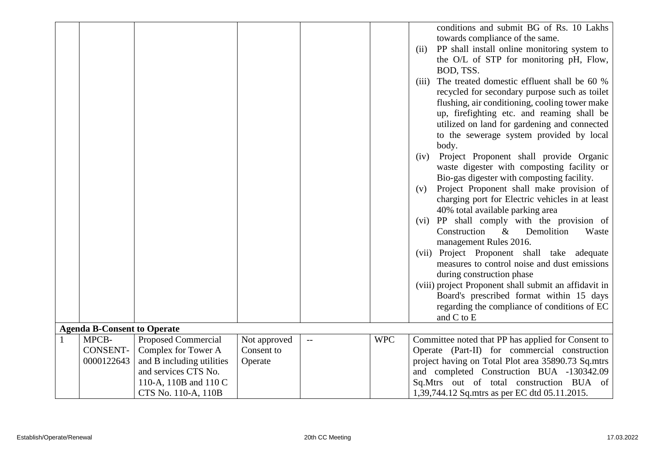|              |                                    |                            |              |     |            | conditions and submit BG of Rs. 10 Lakhs              |
|--------------|------------------------------------|----------------------------|--------------|-----|------------|-------------------------------------------------------|
|              |                                    |                            |              |     |            | towards compliance of the same.                       |
|              |                                    |                            |              |     |            | PP shall install online monitoring system to<br>(ii)  |
|              |                                    |                            |              |     |            | the O/L of STP for monitoring pH, Flow,               |
|              |                                    |                            |              |     |            | BOD, TSS.                                             |
|              |                                    |                            |              |     |            | The treated domestic effluent shall be 60 %<br>(iii)  |
|              |                                    |                            |              |     |            | recycled for secondary purpose such as toilet         |
|              |                                    |                            |              |     |            | flushing, air conditioning, cooling tower make        |
|              |                                    |                            |              |     |            | up, firefighting etc. and reaming shall be            |
|              |                                    |                            |              |     |            | utilized on land for gardening and connected          |
|              |                                    |                            |              |     |            | to the sewerage system provided by local              |
|              |                                    |                            |              |     |            | body.                                                 |
|              |                                    |                            |              |     |            | Project Proponent shall provide Organic<br>(iv)       |
|              |                                    |                            |              |     |            | waste digester with composting facility or            |
|              |                                    |                            |              |     |            | Bio-gas digester with composting facility.            |
|              |                                    |                            |              |     |            | Project Proponent shall make provision of<br>(v)      |
|              |                                    |                            |              |     |            | charging port for Electric vehicles in at least       |
|              |                                    |                            |              |     |            | 40% total available parking area                      |
|              |                                    |                            |              |     |            | (vi) PP shall comply with the provision of            |
|              |                                    |                            |              |     |            | Construction<br>$\&$<br>Demolition<br>Waste           |
|              |                                    |                            |              |     |            | management Rules 2016.                                |
|              |                                    |                            |              |     |            | (vii) Project Proponent shall take adequate           |
|              |                                    |                            |              |     |            | measures to control noise and dust emissions          |
|              |                                    |                            |              |     |            | during construction phase                             |
|              |                                    |                            |              |     |            | (viii) project Proponent shall submit an affidavit in |
|              |                                    |                            |              |     |            | Board's prescribed format within 15 days              |
|              |                                    |                            |              |     |            | regarding the compliance of conditions of EC          |
|              |                                    |                            |              |     |            | and C to E                                            |
|              | <b>Agenda B-Consent to Operate</b> |                            |              |     |            |                                                       |
| $\mathbf{1}$ | MPCB-                              | <b>Proposed Commercial</b> | Not approved | $-$ | <b>WPC</b> | Committee noted that PP has applied for Consent to    |
|              | <b>CONSENT-</b>                    | Complex for Tower A        | Consent to   |     |            | Operate (Part-II) for commercial construction         |
|              | 0000122643                         | and B including utilities  | Operate      |     |            | project having on Total Plot area 35890.73 Sq.mtrs    |
|              |                                    | and services CTS No.       |              |     |            | and completed Construction BUA -130342.09             |
|              |                                    | 110-A, 110B and 110 C      |              |     |            | Sq.Mtrs out of total construction BUA of              |
|              |                                    | CTS No. 110-A, 110B        |              |     |            | 1,39,744.12 Sq.mtrs as per EC dtd 05.11.2015.         |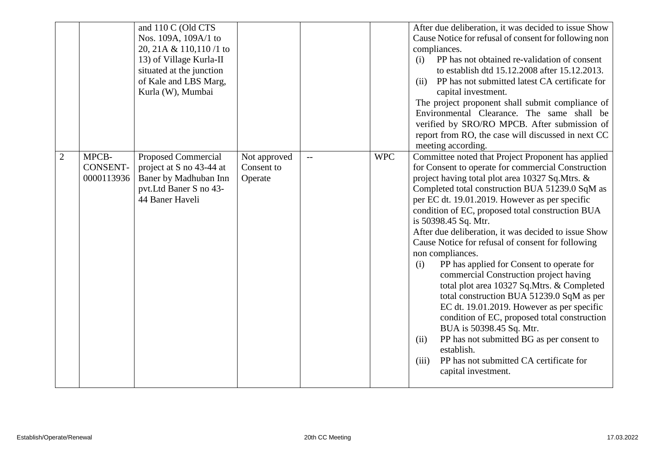|                                                        | and 110 C (Old CTS<br>Nos. 109A, 109A/1 to<br>20, 21A & 110, 110 /1 to<br>13) of Village Kurla-II<br>situated at the junction<br>of Kale and LBS Marg,<br>Kurla (W), Mumbai |                                       |     |            | After due deliberation, it was decided to issue Show<br>Cause Notice for refusal of consent for following non<br>compliances.<br>PP has not obtained re-validation of consent<br>(i)<br>to establish dtd 15.12.2008 after 15.12.2013.<br>PP has not submitted latest CA certificate for<br>(ii)<br>capital investment.<br>The project proponent shall submit compliance of<br>Environmental Clearance. The same shall be<br>verified by SRO/RO MPCB. After submission of<br>report from RO, the case will discussed in next CC<br>meeting according.                                                                                                                                                                                                                                                                                                                                                                                           |
|--------------------------------------------------------|-----------------------------------------------------------------------------------------------------------------------------------------------------------------------------|---------------------------------------|-----|------------|------------------------------------------------------------------------------------------------------------------------------------------------------------------------------------------------------------------------------------------------------------------------------------------------------------------------------------------------------------------------------------------------------------------------------------------------------------------------------------------------------------------------------------------------------------------------------------------------------------------------------------------------------------------------------------------------------------------------------------------------------------------------------------------------------------------------------------------------------------------------------------------------------------------------------------------------|
| $\mathbf{2}$<br>MPCB-<br><b>CONSENT-</b><br>0000113936 | <b>Proposed Commercial</b><br>project at S no 43-44 at<br>Baner by Madhuban Inn<br>pvt.Ltd Baner S no 43-<br>44 Baner Haveli                                                | Not approved<br>Consent to<br>Operate | $-$ | <b>WPC</b> | Committee noted that Project Proponent has applied<br>for Consent to operate for commercial Construction<br>project having total plot area 10327 Sq.Mtrs. &<br>Completed total construction BUA 51239.0 SqM as<br>per EC dt. 19.01.2019. However as per specific<br>condition of EC, proposed total construction BUA<br>is 50398.45 Sq. Mtr.<br>After due deliberation, it was decided to issue Show<br>Cause Notice for refusal of consent for following<br>non compliances.<br>PP has applied for Consent to operate for<br>(i)<br>commercial Construction project having<br>total plot area 10327 Sq.Mtrs. & Completed<br>total construction BUA 51239.0 SqM as per<br>EC dt. 19.01.2019. However as per specific<br>condition of EC, proposed total construction<br>BUA is 50398.45 Sq. Mtr.<br>PP has not submitted BG as per consent to<br>(ii)<br>establish.<br>PP has not submitted CA certificate for<br>(iii)<br>capital investment. |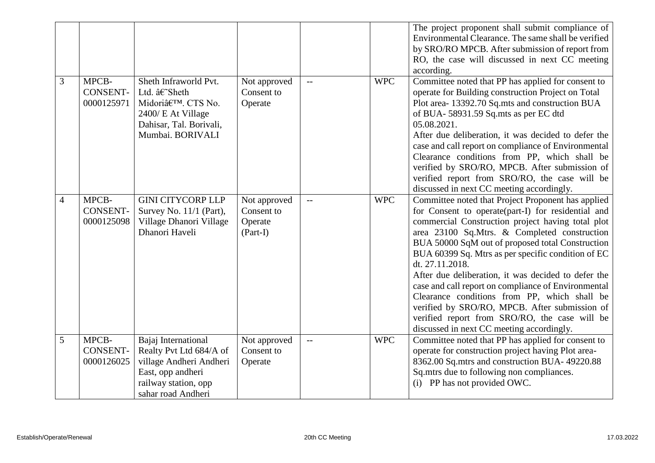|                          |                                        |                                                                                                                                                |                                                     |                          |            | The project proponent shall submit compliance of<br>Environmental Clearance. The same shall be verified<br>by SRO/RO MPCB. After submission of report from<br>RO, the case will discussed in next CC meeting<br>according.                                                                                                                                                                                                                                                                                                                                                                                                                              |
|--------------------------|----------------------------------------|------------------------------------------------------------------------------------------------------------------------------------------------|-----------------------------------------------------|--------------------------|------------|---------------------------------------------------------------------------------------------------------------------------------------------------------------------------------------------------------------------------------------------------------------------------------------------------------------------------------------------------------------------------------------------------------------------------------------------------------------------------------------------------------------------------------------------------------------------------------------------------------------------------------------------------------|
| 3                        | MPCB-<br><b>CONSENT-</b><br>0000125971 | Sheth Infraworld Pvt.<br>Ltd. â€~Sheth<br>Midoriâ€ <sup>™</sup> . CTS No.<br>2400/ E At Village<br>Dahisar, Tal. Borivali,<br>Mumbai. BORIVALI | Not approved<br>Consent to<br>Operate               | $\overline{\phantom{a}}$ | <b>WPC</b> | Committee noted that PP has applied for consent to<br>operate for Building construction Project on Total<br>Plot area-13392.70 Sq.mts and construction BUA<br>of BUA-58931.59 Sq.mts as per EC dtd<br>05.08.2021.<br>After due deliberation, it was decided to defer the<br>case and call report on compliance of Environmental<br>Clearance conditions from PP, which shall be<br>verified by SRO/RO, MPCB. After submission of<br>verified report from SRO/RO, the case will be<br>discussed in next CC meeting accordingly.                                                                                                                          |
| $\overline{\mathcal{A}}$ | MPCB-<br><b>CONSENT-</b><br>0000125098 | <b>GINI CITYCORP LLP</b><br>Survey No. 11/1 (Part),<br>Village Dhanori Village<br>Dhanori Haveli                                               | Not approved<br>Consent to<br>Operate<br>$(Part-I)$ | $\mathbf{u}$             | <b>WPC</b> | Committee noted that Project Proponent has applied<br>for Consent to operate(part-I) for residential and<br>commercial Construction project having total plot<br>area 23100 Sq.Mtrs. & Completed construction<br>BUA 50000 SqM out of proposed total Construction<br>BUA 60399 Sq. Mtrs as per specific condition of EC<br>dt. 27.11.2018.<br>After due deliberation, it was decided to defer the<br>case and call report on compliance of Environmental<br>Clearance conditions from PP, which shall be<br>verified by SRO/RO, MPCB. After submission of<br>verified report from SRO/RO, the case will be<br>discussed in next CC meeting accordingly. |
| 5                        | MPCB-<br><b>CONSENT-</b><br>0000126025 | Bajaj International<br>Realty Pvt Ltd 684/A of<br>village Andheri Andheri<br>East, opp andheri<br>railway station, opp<br>sahar road Andheri   | Not approved<br>Consent to<br>Operate               | $-$                      | <b>WPC</b> | Committee noted that PP has applied for consent to<br>operate for construction project having Plot area-<br>8362.00 Sq.mtrs and construction BUA- 49220.88<br>Sq.mtrs due to following non compliances.<br>(i) PP has not provided OWC.                                                                                                                                                                                                                                                                                                                                                                                                                 |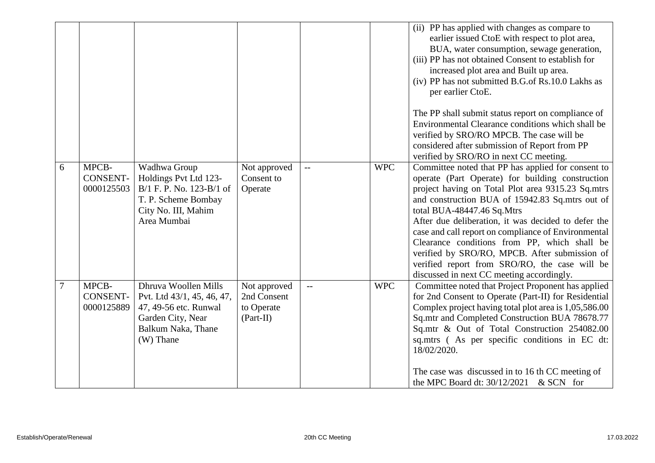|        |                                        |                                                                                                                                     |                                                          |                          |            | (ii) PP has applied with changes as compare to<br>earlier issued CtoE with respect to plot area,<br>BUA, water consumption, sewage generation,<br>(iii) PP has not obtained Consent to establish for<br>increased plot area and Built up area.<br>(iv) PP has not submitted B.G.of Rs.10.0 Lakhs as<br>per earlier CtoE.                                                                                                                                                                                                                                  |
|--------|----------------------------------------|-------------------------------------------------------------------------------------------------------------------------------------|----------------------------------------------------------|--------------------------|------------|-----------------------------------------------------------------------------------------------------------------------------------------------------------------------------------------------------------------------------------------------------------------------------------------------------------------------------------------------------------------------------------------------------------------------------------------------------------------------------------------------------------------------------------------------------------|
|        |                                        |                                                                                                                                     |                                                          |                          |            | The PP shall submit status report on compliance of<br>Environmental Clearance conditions which shall be<br>verified by SRO/RO MPCB. The case will be<br>considered after submission of Report from PP<br>verified by SRO/RO in next CC meeting.                                                                                                                                                                                                                                                                                                           |
| 6      | MPCB-<br><b>CONSENT-</b><br>0000125503 | Wadhwa Group<br>Holdings Pvt Ltd 123-<br>B/1 F. P. No. 123-B/1 of<br>T. P. Scheme Bombay<br>City No. III, Mahim<br>Area Mumbai      | Not approved<br>Consent to<br>Operate                    | $\overline{\phantom{a}}$ | <b>WPC</b> | Committee noted that PP has applied for consent to<br>operate (Part Operate) for building construction<br>project having on Total Plot area 9315.23 Sq.mtrs<br>and construction BUA of 15942.83 Sq.mtrs out of<br>total BUA-48447.46 Sq.Mtrs<br>After due deliberation, it was decided to defer the<br>case and call report on compliance of Environmental<br>Clearance conditions from PP, which shall be<br>verified by SRO/RO, MPCB. After submission of<br>verified report from SRO/RO, the case will be<br>discussed in next CC meeting accordingly. |
| $\tau$ | MPCB-<br><b>CONSENT-</b><br>0000125889 | Dhruva Woollen Mills<br>Pvt. Ltd 43/1, 45, 46, 47,<br>47, 49-56 etc. Runwal<br>Garden City, Near<br>Balkum Naka, Thane<br>(W) Thane | Not approved<br>2nd Consent<br>to Operate<br>$(Part-II)$ | $\overline{\phantom{a}}$ | <b>WPC</b> | Committee noted that Project Proponent has applied<br>for 2nd Consent to Operate (Part-II) for Residential<br>Complex project having total plot area is 1,05,586.00<br>Sq.mtr and Completed Construction BUA 78678.77<br>Sq.mtr & Out of Total Construction 254082.00<br>sq.mtrs (As per specific conditions in EC dt:<br>18/02/2020.<br>The case was discussed in to 16 th CC meeting of<br>the MPC Board dt: $30/12/2021$ & SCN for                                                                                                                     |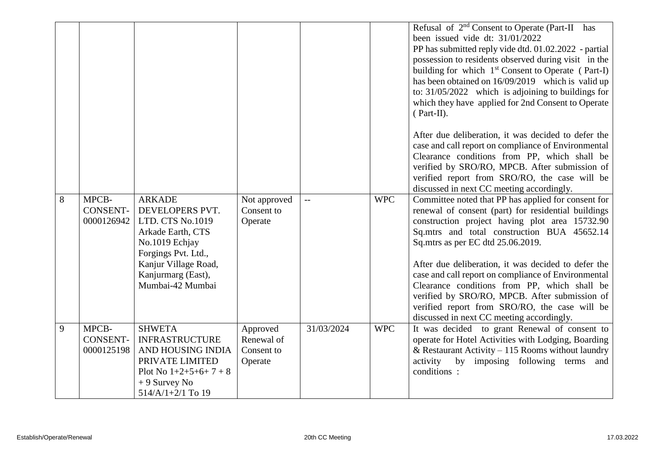|   |                                        |                                                                                                                                                                                      |                                                 |                          |            | Refusal of 2 <sup>nd</sup> Consent to Operate (Part-II has<br>been issued vide dt: 31/01/2022<br>PP has submitted reply vide dtd. 01.02.2022 - partial<br>possession to residents observed during visit in the<br>building for which 1 <sup>st</sup> Consent to Operate (Part-I)<br>has been obtained on 16/09/2019 which is valid up<br>to: $31/05/2022$ which is adjoining to buildings for<br>which they have applied for 2nd Consent to Operate<br>$(Part-II).$                                                                                           |
|---|----------------------------------------|--------------------------------------------------------------------------------------------------------------------------------------------------------------------------------------|-------------------------------------------------|--------------------------|------------|---------------------------------------------------------------------------------------------------------------------------------------------------------------------------------------------------------------------------------------------------------------------------------------------------------------------------------------------------------------------------------------------------------------------------------------------------------------------------------------------------------------------------------------------------------------|
|   |                                        |                                                                                                                                                                                      |                                                 |                          |            | After due deliberation, it was decided to defer the<br>case and call report on compliance of Environmental<br>Clearance conditions from PP, which shall be<br>verified by SRO/RO, MPCB. After submission of<br>verified report from SRO/RO, the case will be<br>discussed in next CC meeting accordingly.                                                                                                                                                                                                                                                     |
| 8 | MPCB-<br><b>CONSENT-</b><br>0000126942 | <b>ARKADE</b><br>DEVELOPERS PVT.<br>LTD. CTS No.1019<br>Arkade Earth, CTS<br>No.1019 Echjay<br>Forgings Pvt. Ltd.,<br>Kanjur Village Road,<br>Kanjurmarg (East),<br>Mumbai-42 Mumbai | Not approved<br>Consent to<br>Operate           | $\overline{\phantom{m}}$ | <b>WPC</b> | Committee noted that PP has applied for consent for<br>renewal of consent (part) for residential buildings<br>construction project having plot area 15732.90<br>Sq.mtrs and total construction BUA 45652.14<br>Sq.mtrs as per EC dtd 25.06.2019.<br>After due deliberation, it was decided to defer the<br>case and call report on compliance of Environmental<br>Clearance conditions from PP, which shall be<br>verified by SRO/RO, MPCB. After submission of<br>verified report from SRO/RO, the case will be<br>discussed in next CC meeting accordingly. |
| 9 | MPCB-<br>CONSENT-<br>0000125198        | <b>SHWETA</b><br><b>INFRASTRUCTURE</b><br>AND HOUSING INDIA<br>PRIVATE LIMITED<br>Plot No $1+2+5+6+7+8$<br>$+9$ Survey No<br>$514/A/1+2/1$ To 19                                     | Approved<br>Renewal of<br>Consent to<br>Operate | 31/03/2024               | <b>WPC</b> | It was decided to grant Renewal of consent to<br>operate for Hotel Activities with Lodging, Boarding<br>& Restaurant Activity – 115 Rooms without laundry<br>activity<br>by imposing following terms and<br>conditions:                                                                                                                                                                                                                                                                                                                                       |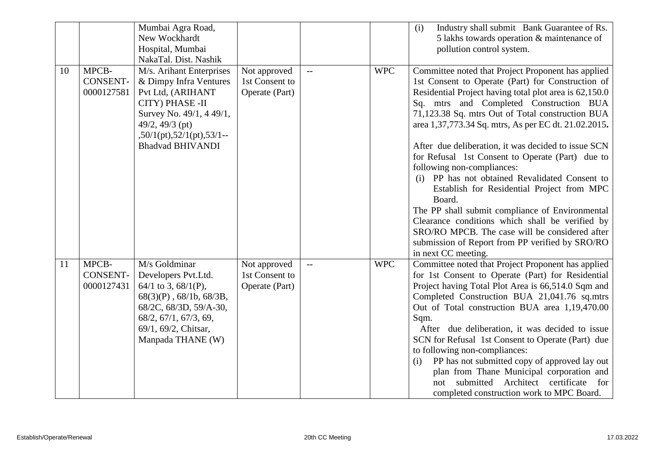|    |                                        | Mumbai Agra Road,<br>New Wockhardt<br>Hospital, Mumbai<br>NakaTal. Dist. Nashik                                                                                                                             |                                                  |                          |            | Industry shall submit Bank Guarantee of Rs.<br>(i)<br>5 lakhs towards operation & maintenance of<br>pollution control system.                                                                                                                                                                                                                                                                                                                                                                                                                                                                                                                                                                                                                                                                                 |
|----|----------------------------------------|-------------------------------------------------------------------------------------------------------------------------------------------------------------------------------------------------------------|--------------------------------------------------|--------------------------|------------|---------------------------------------------------------------------------------------------------------------------------------------------------------------------------------------------------------------------------------------------------------------------------------------------------------------------------------------------------------------------------------------------------------------------------------------------------------------------------------------------------------------------------------------------------------------------------------------------------------------------------------------------------------------------------------------------------------------------------------------------------------------------------------------------------------------|
| 10 | MPCB-<br><b>CONSENT-</b><br>0000127581 | M/s. Arihant Enterprises<br>& Dimpy Infra Ventures<br>Pvt Ltd, (ARIHANT<br>CITY) PHASE -II<br>Survey No. 49/1, 4 49/1,<br>49/2, 49/3 (pt)<br>$50/1(pt)$ , $52/1(pt)$ , $53/1$ --<br><b>Bhadvad BHIVANDI</b> | Not approved<br>1st Consent to<br>Operate (Part) |                          | <b>WPC</b> | Committee noted that Project Proponent has applied<br>1st Consent to Operate (Part) for Construction of<br>Residential Project having total plot area is 62,150.0<br>Sq. mtrs and Completed Construction BUA<br>71,123.38 Sq. mtrs Out of Total construction BUA<br>area 1,37,773.34 Sq. mtrs, As per EC dt. 21.02.2015.<br>After due deliberation, it was decided to issue SCN<br>for Refusal 1st Consent to Operate (Part) due to<br>following non-compliances:<br>(i) PP has not obtained Revalidated Consent to<br>Establish for Residential Project from MPC<br>Board.<br>The PP shall submit compliance of Environmental<br>Clearance conditions which shall be verified by<br>SRO/RO MPCB. The case will be considered after<br>submission of Report from PP verified by SRO/RO<br>in next CC meeting. |
| 11 | MPCB-<br><b>CONSENT-</b><br>0000127431 | M/s Goldminar<br>Developers Pvt.Ltd.<br>$64/1$ to 3, $68/1$ (P),<br>$68(3)(P)$ , $68/1b$ , $68/3B$ ,<br>68/2C, 68/3D, 59/A-30,<br>68/2, 67/1, 67/3, 69,<br>69/1, 69/2, Chitsar,<br>Manpada THANE (W)        | Not approved<br>1st Consent to<br>Operate (Part) | $\overline{\phantom{a}}$ | <b>WPC</b> | Committee noted that Project Proponent has applied<br>for 1st Consent to Operate (Part) for Residential<br>Project having Total Plot Area is 66,514.0 Sqm and<br>Completed Construction BUA 21,041.76 sq.mtrs<br>Out of Total construction BUA area 1,19,470.00<br>Sqm.<br>After due deliberation, it was decided to issue<br>SCN for Refusal 1st Consent to Operate (Part) due<br>to following non-compliances:<br>PP has not submitted copy of approved lay out<br>(i)<br>plan from Thane Municipal corporation and<br>submitted<br>Architect certificate<br>for<br>not<br>completed construction work to MPC Board.                                                                                                                                                                                        |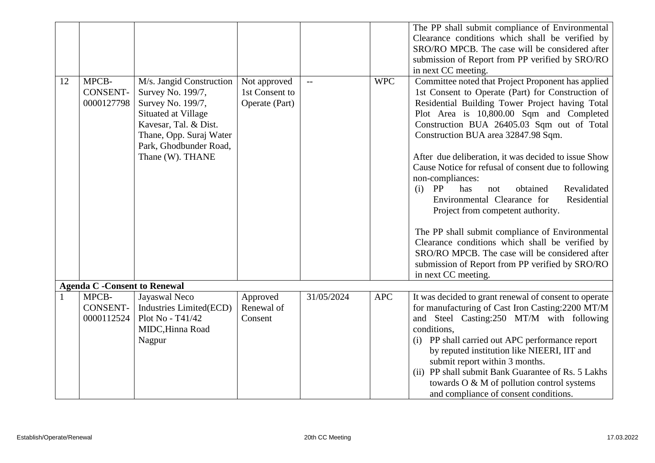|    |                                        |                                                                                                                                                                                             |                                                  |            |            | The PP shall submit compliance of Environmental<br>Clearance conditions which shall be verified by                                                                                                                                                                                                                                                                                                                                                                                                                                                                                                                                                                                                                                                                                                         |
|----|----------------------------------------|---------------------------------------------------------------------------------------------------------------------------------------------------------------------------------------------|--------------------------------------------------|------------|------------|------------------------------------------------------------------------------------------------------------------------------------------------------------------------------------------------------------------------------------------------------------------------------------------------------------------------------------------------------------------------------------------------------------------------------------------------------------------------------------------------------------------------------------------------------------------------------------------------------------------------------------------------------------------------------------------------------------------------------------------------------------------------------------------------------------|
|    |                                        |                                                                                                                                                                                             |                                                  |            |            | SRO/RO MPCB. The case will be considered after                                                                                                                                                                                                                                                                                                                                                                                                                                                                                                                                                                                                                                                                                                                                                             |
|    |                                        |                                                                                                                                                                                             |                                                  |            |            | submission of Report from PP verified by SRO/RO<br>in next CC meeting.                                                                                                                                                                                                                                                                                                                                                                                                                                                                                                                                                                                                                                                                                                                                     |
| 12 | MPCB-<br><b>CONSENT-</b><br>0000127798 | M/s. Jangid Construction<br>Survey No. 199/7,<br>Survey No. 199/7,<br>Situated at Village<br>Kavesar, Tal. & Dist.<br>Thane, Opp. Suraj Water<br>Park, Ghodbunder Road,<br>Thane (W). THANE | Not approved<br>1st Consent to<br>Operate (Part) | $-$        | <b>WPC</b> | Committee noted that Project Proponent has applied<br>1st Consent to Operate (Part) for Construction of<br>Residential Building Tower Project having Total<br>Plot Area is 10,800.00 Sqm and Completed<br>Construction BUA 26405.03 Sqm out of Total<br>Construction BUA area 32847.98 Sqm.<br>After due deliberation, it was decided to issue Show<br>Cause Notice for refusal of consent due to following<br>non-compliances:<br>PP<br>Revalidated<br>has<br>(i)<br>obtained<br>not<br>Environmental Clearance for<br>Residential<br>Project from competent authority.<br>The PP shall submit compliance of Environmental<br>Clearance conditions which shall be verified by<br>SRO/RO MPCB. The case will be considered after<br>submission of Report from PP verified by SRO/RO<br>in next CC meeting. |
|    | <b>Agenda C - Consent to Renewal</b>   |                                                                                                                                                                                             |                                                  |            |            |                                                                                                                                                                                                                                                                                                                                                                                                                                                                                                                                                                                                                                                                                                                                                                                                            |
|    | MPCB-<br><b>CONSENT-</b><br>0000112524 | Jayaswal Neco<br>Industries Limited(ECD)<br>Plot No - T41/42<br>MIDC, Hinna Road<br>Nagpur                                                                                                  | Approved<br>Renewal of<br>Consent                | 31/05/2024 | <b>APC</b> | It was decided to grant renewal of consent to operate<br>for manufacturing of Cast Iron Casting: 2200 MT/M<br>and Steel Casting:250 MT/M with following<br>conditions,<br>(i) PP shall carried out APC performance report<br>by reputed institution like NIEERI, IIT and<br>submit report within 3 months.<br>(ii) PP shall submit Bank Guarantee of Rs. 5 Lakhs<br>towards O & M of pollution control systems                                                                                                                                                                                                                                                                                                                                                                                             |
|    |                                        |                                                                                                                                                                                             |                                                  |            |            | and compliance of consent conditions.                                                                                                                                                                                                                                                                                                                                                                                                                                                                                                                                                                                                                                                                                                                                                                      |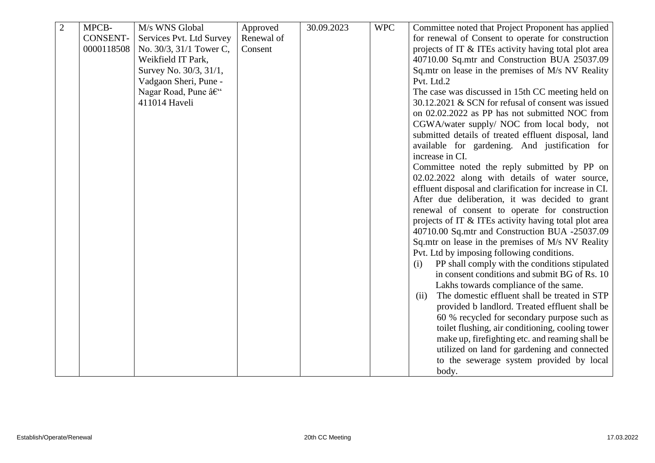| $\overline{2}$ | MPCB-           | M/s WNS Global           | Approved   | 30.09.2023 | <b>WPC</b> | Committee noted that Project Proponent has applied                                              |
|----------------|-----------------|--------------------------|------------|------------|------------|-------------------------------------------------------------------------------------------------|
|                | <b>CONSENT-</b> | Services Pvt. Ltd Survey | Renewal of |            |            | for renewal of Consent to operate for construction                                              |
|                | 0000118508      | No. 30/3, 31/1 Tower C,  | Consent    |            |            | projects of IT & ITEs activity having total plot area                                           |
|                |                 | Weikfield IT Park,       |            |            |            | 40710.00 Sq.mtr and Construction BUA 25037.09                                                   |
|                |                 | Survey No. 30/3, 31/1,   |            |            |            | Sq.mtr on lease in the premises of M/s NV Reality                                               |
|                |                 | Vadgaon Sheri, Pune -    |            |            |            | Pvt. Ltd.2                                                                                      |
|                |                 | Nagar Road, Pune –       |            |            |            | The case was discussed in 15th CC meeting held on                                               |
|                |                 | 411014 Haveli            |            |            |            | 30.12.2021 & SCN for refusal of consent was issued                                              |
|                |                 |                          |            |            |            | on 02.02.2022 as PP has not submitted NOC from                                                  |
|                |                 |                          |            |            |            | CGWA/water supply/ NOC from local body, not                                                     |
|                |                 |                          |            |            |            | submitted details of treated effluent disposal, land                                            |
|                |                 |                          |            |            |            | available for gardening. And justification for                                                  |
|                |                 |                          |            |            |            | increase in CI.                                                                                 |
|                |                 |                          |            |            |            | Committee noted the reply submitted by PP on<br>02.02.2022 along with details of water source,  |
|                |                 |                          |            |            |            | effluent disposal and clarification for increase in CI.                                         |
|                |                 |                          |            |            |            | After due deliberation, it was decided to grant                                                 |
|                |                 |                          |            |            |            | renewal of consent to operate for construction                                                  |
|                |                 |                          |            |            |            | projects of IT & ITEs activity having total plot area                                           |
|                |                 |                          |            |            |            | 40710.00 Sq.mtr and Construction BUA -25037.09                                                  |
|                |                 |                          |            |            |            | Sq.mtr on lease in the premises of M/s NV Reality                                               |
|                |                 |                          |            |            |            | Pvt. Ltd by imposing following conditions.                                                      |
|                |                 |                          |            |            |            | PP shall comply with the conditions stipulated<br>(i)                                           |
|                |                 |                          |            |            |            | in consent conditions and submit BG of Rs. 10                                                   |
|                |                 |                          |            |            |            | Lakhs towards compliance of the same.                                                           |
|                |                 |                          |            |            |            | The domestic effluent shall be treated in STP<br>(ii)                                           |
|                |                 |                          |            |            |            | provided b landlord. Treated effluent shall be                                                  |
|                |                 |                          |            |            |            | 60 % recycled for secondary purpose such as                                                     |
|                |                 |                          |            |            |            | toilet flushing, air conditioning, cooling tower                                                |
|                |                 |                          |            |            |            | make up, firefighting etc. and reaming shall be<br>utilized on land for gardening and connected |
|                |                 |                          |            |            |            | to the sewerage system provided by local                                                        |
|                |                 |                          |            |            |            | body.                                                                                           |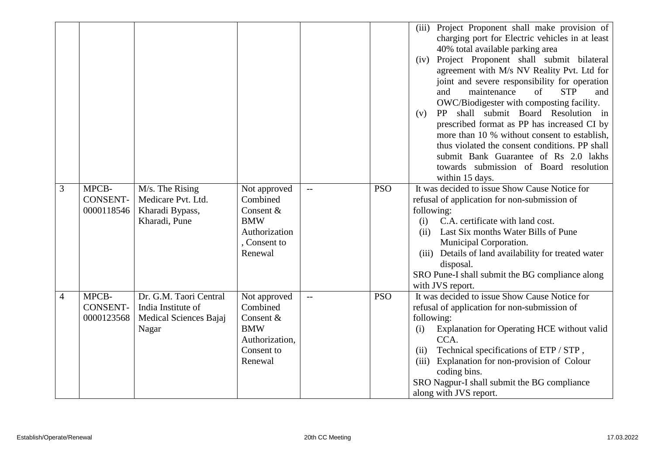|                |                                        |                                                                                 |                                                                                                 |     |            | (iii) Project Proponent shall make provision of<br>charging port for Electric vehicles in at least<br>40% total available parking area<br>(iv) Project Proponent shall submit bilateral<br>agreement with M/s NV Reality Pvt. Ltd for<br>joint and severe responsibility for operation<br>$\sigma$ f<br><b>STP</b><br>maintenance<br>and<br>and<br>OWC/Biodigester with composting facility.<br>shall submit Board Resolution in<br>PP.<br>(v)<br>prescribed format as PP has increased CI by<br>more than 10 % without consent to establish,<br>thus violated the consent conditions. PP shall<br>submit Bank Guarantee of Rs 2.0 lakhs<br>towards submission of Board resolution<br>within 15 days. |
|----------------|----------------------------------------|---------------------------------------------------------------------------------|-------------------------------------------------------------------------------------------------|-----|------------|-------------------------------------------------------------------------------------------------------------------------------------------------------------------------------------------------------------------------------------------------------------------------------------------------------------------------------------------------------------------------------------------------------------------------------------------------------------------------------------------------------------------------------------------------------------------------------------------------------------------------------------------------------------------------------------------------------|
| 3              | MPCB-<br><b>CONSENT-</b><br>0000118546 | M/s. The Rising<br>Medicare Pvt. Ltd.<br>Kharadi Bypass,<br>Kharadi, Pune       | Not approved<br>Combined<br>Consent &<br><b>BMW</b><br>Authorization<br>, Consent to<br>Renewal | $-$ | <b>PSO</b> | It was decided to issue Show Cause Notice for<br>refusal of application for non-submission of<br>following:<br>C.A. certificate with land cost.<br>(i)<br>Last Six months Water Bills of Pune<br>(ii)<br>Municipal Corporation.<br>(iii) Details of land availability for treated water<br>disposal.<br>SRO Pune-I shall submit the BG compliance along<br>with JVS report.                                                                                                                                                                                                                                                                                                                           |
| $\overline{4}$ | MPCB-<br><b>CONSENT-</b><br>0000123568 | Dr. G.M. Taori Central<br>India Institute of<br>Medical Sciences Bajaj<br>Nagar | Not approved<br>Combined<br>Consent &<br><b>BMW</b><br>Authorization,<br>Consent to<br>Renewal  | $-$ | <b>PSO</b> | It was decided to issue Show Cause Notice for<br>refusal of application for non-submission of<br>following:<br>Explanation for Operating HCE without valid<br>(i)<br>CCA.<br>Technical specifications of ETP / STP,<br>(ii)<br>Explanation for non-provision of Colour<br>(iii)<br>coding bins.<br>SRO Nagpur-I shall submit the BG compliance<br>along with JVS report.                                                                                                                                                                                                                                                                                                                              |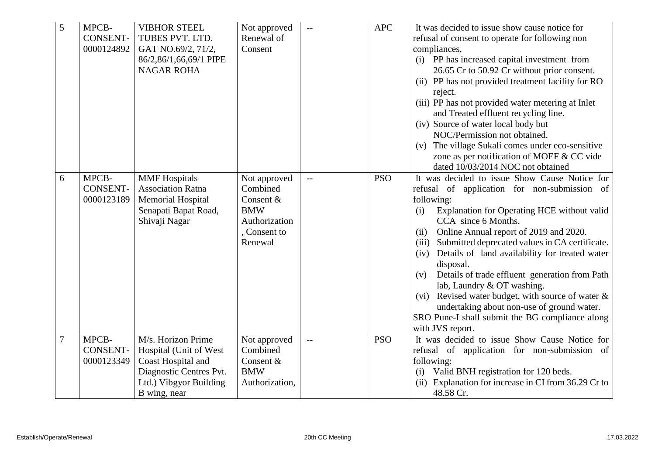| 5 | MPCB-           | <b>VIBHOR STEEL</b>      | Not approved   | $\mathbb{L}\mathbb{L}$   | <b>APC</b> | It was decided to issue show cause notice for           |
|---|-----------------|--------------------------|----------------|--------------------------|------------|---------------------------------------------------------|
|   | <b>CONSENT-</b> | TUBES PVT. LTD.          | Renewal of     |                          |            | refusal of consent to operate for following non         |
|   | 0000124892      | GAT NO.69/2, 71/2,       | Consent        |                          |            | compliances,                                            |
|   |                 | 86/2,86/1,66,69/1 PIPE   |                |                          |            | (i) PP has increased capital investment from            |
|   |                 | <b>NAGAR ROHA</b>        |                |                          |            | 26.65 Cr to 50.92 Cr without prior consent.             |
|   |                 |                          |                |                          |            | (ii) PP has not provided treatment facility for RO      |
|   |                 |                          |                |                          |            | reject.                                                 |
|   |                 |                          |                |                          |            | (iii) PP has not provided water metering at Inlet       |
|   |                 |                          |                |                          |            | and Treated effluent recycling line.                    |
|   |                 |                          |                |                          |            | (iv) Source of water local body but                     |
|   |                 |                          |                |                          |            | NOC/Permission not obtained.                            |
|   |                 |                          |                |                          |            | The village Sukali comes under eco-sensitive<br>(v)     |
|   |                 |                          |                |                          |            | zone as per notification of MOEF & CC vide              |
|   |                 |                          |                |                          |            | dated 10/03/2014 NOC not obtained                       |
| 6 | MPCB-           | <b>MMF</b> Hospitals     | Not approved   | $\overline{\phantom{m}}$ | <b>PSO</b> | It was decided to issue Show Cause Notice for           |
|   | <b>CONSENT-</b> | <b>Association Ratna</b> | Combined       |                          |            | refusal of application for non-submission of            |
|   | 0000123189      | <b>Memorial Hospital</b> | Consent &      |                          |            | following:                                              |
|   |                 | Senapati Bapat Road,     | <b>BMW</b>     |                          |            | Explanation for Operating HCE without valid<br>(i)      |
|   |                 | Shivaji Nagar            | Authorization  |                          |            | CCA since 6 Months.                                     |
|   |                 |                          | , Consent to   |                          |            | Online Annual report of 2019 and 2020.<br>(ii)          |
|   |                 |                          | Renewal        |                          |            | Submitted deprecated values in CA certificate.<br>(iii) |
|   |                 |                          |                |                          |            | Details of land availability for treated water<br>(iv)  |
|   |                 |                          |                |                          |            | disposal.                                               |
|   |                 |                          |                |                          |            | Details of trade effluent generation from Path<br>(v)   |
|   |                 |                          |                |                          |            | lab, Laundry & OT washing.                              |
|   |                 |                          |                |                          |            | (vi) Revised water budget, with source of water $\&$    |
|   |                 |                          |                |                          |            | undertaking about non-use of ground water.              |
|   |                 |                          |                |                          |            | SRO Pune-I shall submit the BG compliance along         |
|   |                 |                          |                |                          |            | with JVS report.                                        |
| 7 | MPCB-           | M/s. Horizon Prime       | Not approved   | $\overline{\phantom{m}}$ | <b>PSO</b> | It was decided to issue Show Cause Notice for           |
|   | <b>CONSENT-</b> | Hospital (Unit of West   | Combined       |                          |            | refusal of application for non-submission of            |
|   | 0000123349      | Coast Hospital and       | Consent &      |                          |            | following:                                              |
|   |                 | Diagnostic Centres Pvt.  | <b>BMW</b>     |                          |            | Valid BNH registration for 120 beds.<br>(i)             |
|   |                 | Ltd.) Vibgyor Building   | Authorization, |                          |            | Explanation for increase in CI from 36.29 Cr to<br>(ii) |
|   |                 | B wing, near             |                |                          |            | 48.58 Cr.                                               |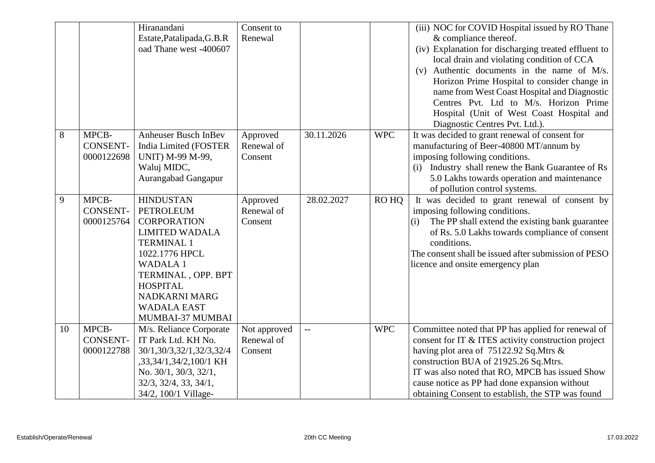|    |                 | Hiranandani                           | Consent to   |            |            | (iii) NOC for COVID Hospital issued by RO Thane        |
|----|-----------------|---------------------------------------|--------------|------------|------------|--------------------------------------------------------|
|    |                 | Estate, Patalipada, G.B.R             | Renewal      |            |            | & compliance thereof.                                  |
|    |                 | oad Thane west -400607                |              |            |            | (iv) Explanation for discharging treated effluent to   |
|    |                 |                                       |              |            |            | local drain and violating condition of CCA             |
|    |                 |                                       |              |            |            | (v) Authentic documents in the name of M/s.            |
|    |                 |                                       |              |            |            | Horizon Prime Hospital to consider change in           |
|    |                 |                                       |              |            |            | name from West Coast Hospital and Diagnostic           |
|    |                 |                                       |              |            |            | Centres Pvt. Ltd to M/s. Horizon Prime                 |
|    |                 |                                       |              |            |            | Hospital (Unit of West Coast Hospital and              |
|    |                 |                                       |              |            |            | Diagnostic Centres Pvt. Ltd.).                         |
| 8  | MPCB-           | Anheuser Busch InBev                  | Approved     | 30.11.2026 | <b>WPC</b> | It was decided to grant renewal of consent for         |
|    | <b>CONSENT-</b> | India Limited (FOSTER                 | Renewal of   |            |            | manufacturing of Beer-40800 MT/annum by                |
|    | 0000122698      | <b>UNIT)</b> M-99 M-99,               | Consent      |            |            | imposing following conditions.                         |
|    |                 | Waluj MIDC,                           |              |            |            | (i) Industry shall renew the Bank Guarantee of Rs      |
|    |                 | Aurangabad Gangapur                   |              |            |            | 5.0 Lakhs towards operation and maintenance            |
|    |                 |                                       |              |            |            | of pollution control systems.                          |
| 9  | MPCB-           | <b>HINDUSTAN</b>                      | Approved     | 28.02.2027 | RO HQ      | It was decided to grant renewal of consent by          |
|    | <b>CONSENT-</b> | <b>PETROLEUM</b>                      | Renewal of   |            |            | imposing following conditions.                         |
|    | 0000125764      | <b>CORPORATION</b>                    | Consent      |            |            | The PP shall extend the existing bank guarantee<br>(i) |
|    |                 | <b>LIMITED WADALA</b>                 |              |            |            | of Rs. 5.0 Lakhs towards compliance of consent         |
|    |                 | <b>TERMINAL 1</b>                     |              |            |            | conditions.                                            |
|    |                 | 1022.1776 HPCL                        |              |            |            | The consent shall be issued after submission of PESO   |
|    |                 | <b>WADALA1</b>                        |              |            |            | licence and onsite emergency plan                      |
|    |                 | TERMINAL, OPP. BPT<br><b>HOSPITAL</b> |              |            |            |                                                        |
|    |                 | NADKARNI MARG                         |              |            |            |                                                        |
|    |                 | <b>WADALA EAST</b>                    |              |            |            |                                                        |
|    |                 | MUMBAI-37 MUMBAI                      |              |            |            |                                                        |
| 10 | MPCB-           | M/s. Reliance Corporate               | Not approved | $-$        | <b>WPC</b> | Committee noted that PP has applied for renewal of     |
|    | <b>CONSENT-</b> | IT Park Ltd. KH No.                   | Renewal of   |            |            | consent for IT & ITES activity construction project    |
|    | 0000122788      | 30/1,30/3,32/1,32/3,32/4              | Consent      |            |            | having plot area of 75122.92 Sq.Mtrs &                 |
|    |                 | ,33,34/1,34/2,100/1 KH                |              |            |            | construction BUA of 21925.26 Sq.Mtrs.                  |
|    |                 | No. 30/1, 30/3, 32/1,                 |              |            |            | IT was also noted that RO, MPCB has issued Show        |
|    |                 | $32/3$ , $32/4$ , $33$ , $34/1$ ,     |              |            |            | cause notice as PP had done expansion without          |
|    |                 | 34/2, 100/1 Village-                  |              |            |            | obtaining Consent to establish, the STP was found      |
|    |                 |                                       |              |            |            |                                                        |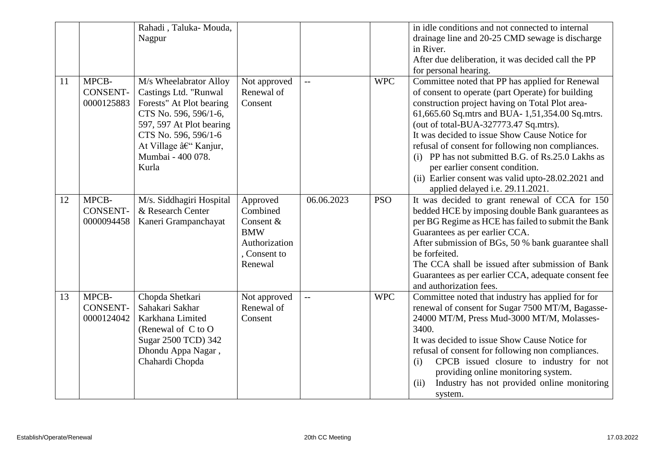|    |                                        | Rahadi, Taluka-Mouda,<br>Nagpur                                                                                                                                                                                |                                                                                           |                |            | in idle conditions and not connected to internal<br>drainage line and 20-25 CMD sewage is discharge<br>in River.<br>After due deliberation, it was decided call the PP<br>for personal hearing.                                                                                                                                                                                                                                                                                                                                           |
|----|----------------------------------------|----------------------------------------------------------------------------------------------------------------------------------------------------------------------------------------------------------------|-------------------------------------------------------------------------------------------|----------------|------------|-------------------------------------------------------------------------------------------------------------------------------------------------------------------------------------------------------------------------------------------------------------------------------------------------------------------------------------------------------------------------------------------------------------------------------------------------------------------------------------------------------------------------------------------|
| 11 | MPCB-<br><b>CONSENT-</b><br>0000125883 | M/s Wheelabrator Alloy<br>Castings Ltd. "Runwal<br>Forests" At Plot bearing<br>CTS No. 596, 596/1-6,<br>597, 597 At Plot bearing<br>CTS No. 596, 596/1-6<br>At Village – Kanjur,<br>Mumbai - 400 078.<br>Kurla | Not approved<br>Renewal of<br>Consent                                                     | $\overline{a}$ | <b>WPC</b> | Committee noted that PP has applied for Renewal<br>of consent to operate (part Operate) for building<br>construction project having on Total Plot area-<br>61,665.60 Sq.mtrs and BUA-1,51,354.00 Sq.mtrs.<br>(out of total-BUA-327773.47 Sq.mtrs).<br>It was decided to issue Show Cause Notice for<br>refusal of consent for following non compliances.<br>(i) PP has not submitted B.G. of Rs.25.0 Lakhs as<br>per earlier consent condition.<br>(ii) Earlier consent was valid upto-28.02.2021 and<br>applied delayed i.e. 29.11.2021. |
| 12 | MPCB-<br><b>CONSENT-</b><br>0000094458 | M/s. Siddhagiri Hospital<br>& Research Center<br>Kaneri Grampanchayat                                                                                                                                          | Approved<br>Combined<br>Consent &<br><b>BMW</b><br>Authorization<br>Consent to<br>Renewal | 06.06.2023     | <b>PSO</b> | It was decided to grant renewal of CCA for 150<br>bedded HCE by imposing double Bank guarantees as<br>per BG Regime as HCE has failed to submit the Bank<br>Guarantees as per earlier CCA.<br>After submission of BGs, 50 % bank guarantee shall<br>be forfeited.<br>The CCA shall be issued after submission of Bank<br>Guarantees as per earlier CCA, adequate consent fee<br>and authorization fees.                                                                                                                                   |
| 13 | MPCB-<br><b>CONSENT-</b><br>0000124042 | Chopda Shetkari<br>Sahakari Sakhar<br>Karkhana Limited<br>(Renewal of C to O<br>Sugar 2500 TCD) 342<br>Dhondu Appa Nagar,<br>Chahardi Chopda                                                                   | Not approved<br>Renewal of<br>Consent                                                     |                | <b>WPC</b> | Committee noted that industry has applied for for<br>renewal of consent for Sugar 7500 MT/M, Bagasse-<br>24000 MT/M, Press Mud-3000 MT/M, Molasses-<br>3400.<br>It was decided to issue Show Cause Notice for<br>refusal of consent for following non compliances.<br>CPCB issued closure to industry for not<br>(i)<br>providing online monitoring system.<br>Industry has not provided online monitoring<br>(ii)<br>system.                                                                                                             |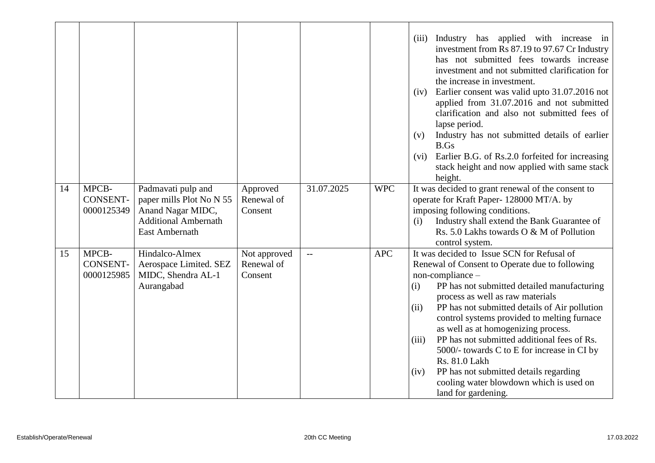|    |                                        |                                                                                                                      |                                       |            |            | Industry has applied with increase in<br>(iii)<br>investment from Rs 87.19 to 97.67 Cr Industry<br>has not submitted fees towards increase<br>investment and not submitted clarification for<br>the increase in investment.<br>Earlier consent was valid upto 31.07.2016 not<br>(iv)<br>applied from 31.07.2016 and not submitted<br>clarification and also not submitted fees of<br>lapse period.<br>Industry has not submitted details of earlier<br>(v)<br>B.Gs<br>Earlier B.G. of Rs.2.0 forfeited for increasing<br>(vi)<br>stack height and now applied with same stack<br>height.                |
|----|----------------------------------------|----------------------------------------------------------------------------------------------------------------------|---------------------------------------|------------|------------|---------------------------------------------------------------------------------------------------------------------------------------------------------------------------------------------------------------------------------------------------------------------------------------------------------------------------------------------------------------------------------------------------------------------------------------------------------------------------------------------------------------------------------------------------------------------------------------------------------|
| 14 | MPCB-<br><b>CONSENT-</b><br>0000125349 | Padmavati pulp and<br>paper mills Plot No N 55<br>Anand Nagar MIDC,<br><b>Additional Ambernath</b><br>East Ambernath | Approved<br>Renewal of<br>Consent     | 31.07.2025 | <b>WPC</b> | It was decided to grant renewal of the consent to<br>operate for Kraft Paper-128000 MT/A. by<br>imposing following conditions.<br>Industry shall extend the Bank Guarantee of<br>(i)<br>Rs. 5.0 Lakhs towards O & M of Pollution<br>control system.                                                                                                                                                                                                                                                                                                                                                     |
| 15 | MPCB-<br><b>CONSENT-</b><br>0000125985 | Hindalco-Almex<br>Aerospace Limited. SEZ<br>MIDC, Shendra AL-1<br>Aurangabad                                         | Not approved<br>Renewal of<br>Consent |            | <b>APC</b> | It was decided to Issue SCN for Refusal of<br>Renewal of Consent to Operate due to following<br>$non-compliance -$<br>PP has not submitted detailed manufacturing<br>(i)<br>process as well as raw materials<br>PP has not submitted details of Air pollution<br>(ii)<br>control systems provided to melting furnace<br>as well as at homogenizing process.<br>PP has not submitted additional fees of Rs.<br>(iii)<br>5000/- towards C to E for increase in CI by<br>Rs. 81.0 Lakh<br>PP has not submitted details regarding<br>(iv)<br>cooling water blowdown which is used on<br>land for gardening. |